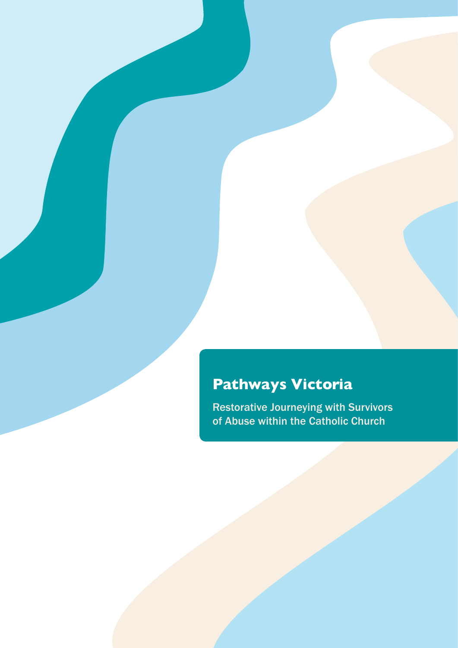# **Pathways Victoria**

Restorative Journeying with Survivors of Abuse within the Catholic Church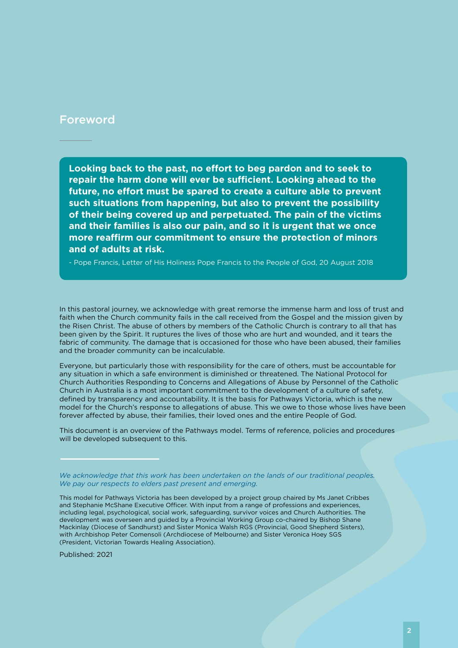### Foreword

**Looking back to the past, no effort to beg pardon and to seek to repair the harm done will ever be sufficient. Looking ahead to the future, no effort must be spared to create a culture able to prevent such situations from happening, but also to prevent the possibility of their being covered up and perpetuated. The pain of the victims and their families is also our pain, and so it is urgent that we once more reaffirm our commitment to ensure the protection of minors and of adults at risk.**

- Pope Francis, Letter of His Holiness Pope Francis to the People of God, 20 August 2018

In this pastoral journey, we acknowledge with great remorse the immense harm and loss of trust and faith when the Church community fails in the call received from the Gospel and the mission given by the Risen Christ. The abuse of others by members of the Catholic Church is contrary to all that has been given by the Spirit. It ruptures the lives of those who are hurt and wounded, and it tears the fabric of community. The damage that is occasioned for those who have been abused, their families and the broader community can be incalculable.

Everyone, but particularly those with responsibility for the care of others, must be accountable for any situation in which a safe environment is diminished or threatened. The National Protocol for Church Authorities Responding to Concerns and Allegations of Abuse by Personnel of the Catholic Church in Australia is a most important commitment to the development of a culture of safety, defined by transparency and accountability. It is the basis for Pathways Victoria, which is the new model for the Church's response to allegations of abuse. This we owe to those whose lives have been forever affected by abuse, their families, their loved ones and the entire People of God.

This document is an overview of the Pathways model. Terms of reference, policies and procedures will be developed subsequent to this.

Published: 2021

*We acknowledge that this work has been undertaken on the lands of our traditional peoples. We pay our respects to elders past present and emerging.* 

This model for Pathways Victoria has been developed by a project group chaired by Ms Janet Cribbes and Stephanie McShane Executive Officer. With input from a range of professions and experiences, including legal, psychological, social work, safeguarding, survivor voices and Church Authorities. The development was overseen and guided by a Provincial Working Group co-chaired by Bishop Shane Mackinlay (Diocese of Sandhurst) and Sister Monica Walsh RGS (Provincial, Good Shepherd Sisters), with Archbishop Peter Comensoli (Archdiocese of Melbourne) and Sister Veronica Hoey SGS (President, Victorian Towards Healing Association).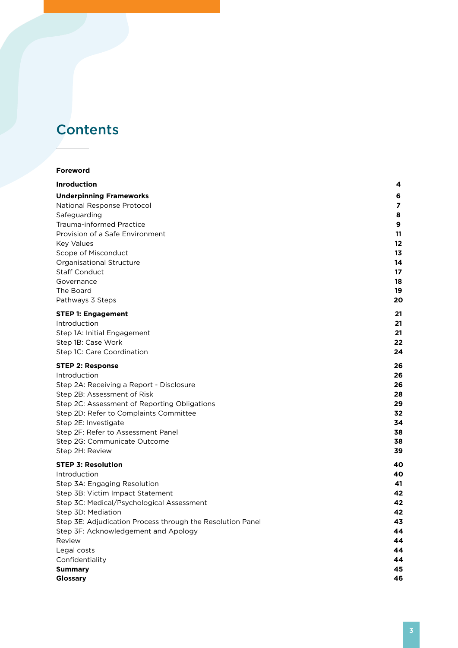## **Contents**

### **Foreword**

| <b>Inroduction</b>                                         | 4  |
|------------------------------------------------------------|----|
| <b>Underpinning Frameworks</b>                             | 6  |
| <b>National Response Protocol</b>                          | 7  |
| Safeguarding                                               | 8  |
| <b>Trauma-informed Practice</b>                            | 9  |
| Provision of a Safe Environment                            | 11 |
| <b>Key Values</b>                                          | 12 |
| Scope of Misconduct                                        | 13 |
| Organisational Structure                                   | 14 |
| <b>Staff Conduct</b>                                       | 17 |
| Governance                                                 | 18 |
| The Board                                                  | 19 |
| Pathways 3 Steps                                           | 20 |
| STEP 1: Engagement                                         | 21 |
| Introduction                                               | 21 |
| Step 1A: Initial Engagement                                | 21 |
| Step 1B: Case Work                                         | 22 |
| Step 1C: Care Coordination                                 | 24 |
| <b>STEP 2: Response</b>                                    | 26 |
| Introduction                                               | 26 |
| Step 2A: Receiving a Report - Disclosure                   | 26 |
| Step 2B: Assessment of Risk                                | 28 |
| Step 2C: Assessment of Reporting Obligations               | 29 |
| Step 2D: Refer to Complaints Committee                     | 32 |
| Step 2E: Investigate                                       | 34 |
| Step 2F: Refer to Assessment Panel                         | 38 |
| Step 2G: Communicate Outcome                               | 38 |
| Step 2H: Review                                            | 39 |
| <b>STEP 3: Resolution</b>                                  | 40 |
| Introduction                                               | 40 |
| Step 3A: Engaging Resolution                               | 41 |
| Step 3B: Victim Impact Statement                           | 42 |
| Step 3C: Medical/Psychological Assessment                  | 42 |
| Step 3D: Mediation                                         | 42 |
| Step 3E: Adjudication Process through the Resolution Panel | 43 |
| Step 3F: Acknowledgement and Apology                       | 44 |
| Review                                                     | 44 |
| Legal costs                                                | 44 |
| Confidentiality                                            | 44 |
| <b>Summary</b>                                             | 45 |
| <b>Glossary</b>                                            | 46 |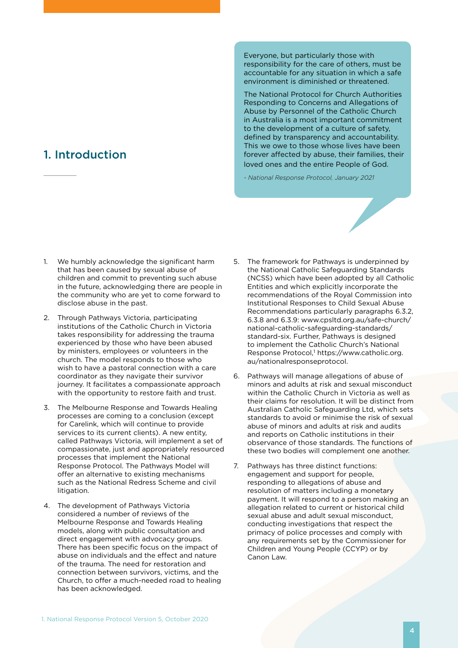### 1. Introduction

Everyone, but particularly those with responsibility for the care of others, must be accountable for any situation in which a safe environment is diminished or threatened.

The National Protocol for Church Authorities Responding to Concerns and Allegations of Abuse by Personnel of the Catholic Church in Australia is a most important commitment to the development of a culture of safety, defined by transparency and accountability. This we owe to those whose lives have been forever affected by abuse, their families, their loved ones and the entire People of God.

*- National Response Protocol, January 2021* 

- 1. We humbly acknowledge the significant harm that has been caused by sexual abuse of children and commit to preventing such abuse in the future, acknowledging there are people in the community who are yet to come forward to disclose abuse in the past.
- 2. Through Pathways Victoria, participating institutions of the Catholic Church in Victoria takes responsibility for addressing the trauma experienced by those who have been abused by ministers, employees or volunteers in the church. The model responds to those who wish to have a pastoral connection with a care coordinator as they navigate their survivor journey. It facilitates a compassionate approach with the opportunity to restore faith and trust.
- 3. The Melbourne Response and Towards Healing processes are coming to a conclusion (except for Carelink, which will continue to provide services to its current clients). A new entity, called Pathways Victoria, will implement a set of compassionate, just and appropriately resourced processes that implement the National Response Protocol. The Pathways Model will offer an alternative to existing mechanisms such as the National Redress Scheme and civil **litigation**
- 4. The development of Pathways Victoria considered a number of reviews of the Melbourne Response and Towards Healing models, along with public consultation and direct engagement with advocacy groups. There has been specific focus on the impact of abuse on individuals and the effect and nature of the trauma. The need for restoration and connection between survivors, victims, and the Church, to offer a much-needed road to healing has been acknowledged.
- 5. The framework for Pathways is underpinned by the National Catholic Safeguarding Standards (NCSS) which have been adopted by all Catholic Entities and which explicitly incorporate the recommendations of the Royal Commission into Institutional Responses to Child Sexual Abuse Recommendations particularly paragraphs 6.3.2, 6.3.8 and 6.3.9: www.cpsltd.org.au/safe-church/ national-catholic-safeguarding-standards/ standard-six. Further, Pathways is designed to implement the Catholic Church's National Response Protocol,<sup>1</sup> https://www.catholic.org. au/nationalresponseprotocol.
- 6. Pathways will manage allegations of abuse of minors and adults at risk and sexual misconduct within the Catholic Church in Victoria as well as their claims for resolution. It will be distinct from Australian Catholic Safeguarding Ltd, which sets standards to avoid or minimise the risk of sexual abuse of minors and adults at risk and audits and reports on Catholic institutions in their observance of those standards. The functions of these two bodies will complement one another.
- 7. Pathways has three distinct functions: engagement and support for people, responding to allegations of abuse and resolution of matters including a monetary payment. It will respond to a person making an allegation related to current or historical child sexual abuse and adult sexual misconduct, conducting investigations that respect the primacy of police processes and comply with any requirements set by the Commissioner for Children and Young People (CCYP) or by Canon Law.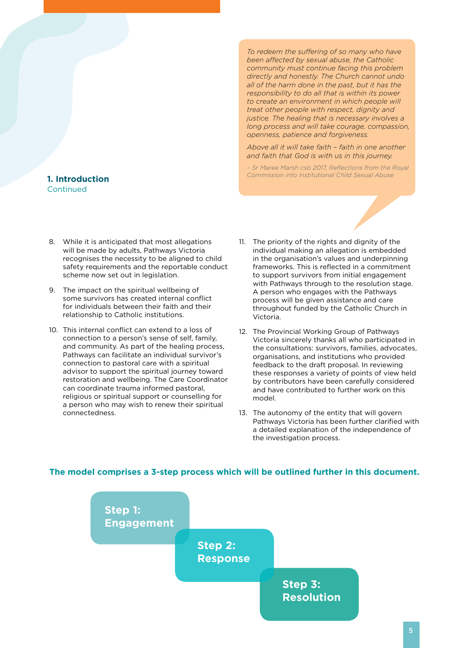*To redeem the suffering of so many who have been affected by sexual abuse, the Catholic community must continue facing this problem directly and honestly. The Church cannot undo all of the harm done in the past, but it has the responsibility to do all that is within its power to create an environment in which people will treat other people with respect, dignity and justice. The healing that is necessary involves a long process and will take courage, compassion, openness, patience and forgiveness.* 

*Above all it will take faith – faith in one another and faith that God is with us in this journey.*

*– Sr Maree Marsh csb 2017, Reflections from the Royal Commission into Institutional Child Sexual Abuse*

- **1. Introduction**  Continued
- 8. While it is anticipated that most allegations will be made by adults, Pathways Victoria recognises the necessity to be aligned to child safety requirements and the reportable conduct scheme now set out in legislation.
- 9. The impact on the spiritual wellbeing of some survivors has created internal conflict for individuals between their faith and their relationship to Catholic institutions.
- 10. This internal conflict can extend to a loss of connection to a person's sense of self, family, and community. As part of the healing process, Pathways can facilitate an individual survivor's connection to pastoral care with a spiritual advisor to support the spiritual journey toward restoration and wellbeing. The Care Coordinator can coordinate trauma informed pastoral, religious or spiritual support or counselling for a person who may wish to renew their spiritual connectedness.
- 11. The priority of the rights and dignity of the individual making an allegation is embedded in the organisation's values and underpinning frameworks. This is reflected in a commitment to support survivors from initial engagement with Pathways through to the resolution stage. A person who engages with the Pathways process will be given assistance and care throughout funded by the Catholic Church in Victoria.
- 12. The Provincial Working Group of Pathways Victoria sincerely thanks all who participated in the consultations: survivors, families, advocates, organisations, and institutions who provided feedback to the draft proposal. In reviewing these responses a variety of points of view held by contributors have been carefully considered and have contributed to further work on this model.
- 13. The autonomy of the entity that will govern Pathways Victoria has been further clarified with a detailed explanation of the independence of the investigation process.



### **The model comprises a 3-step process which will be outlined further in this document.**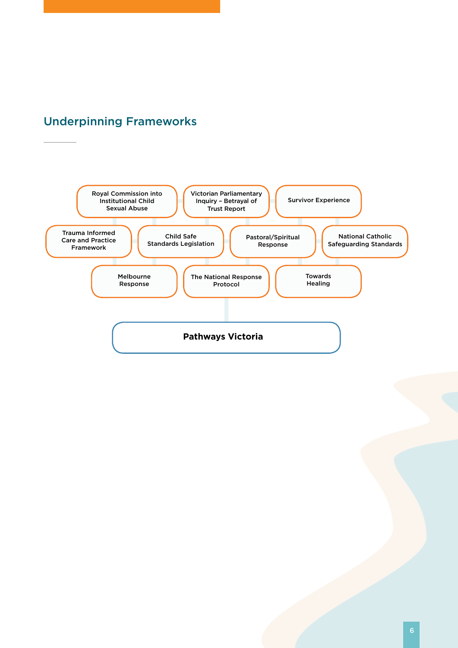## Underpinning Frameworks

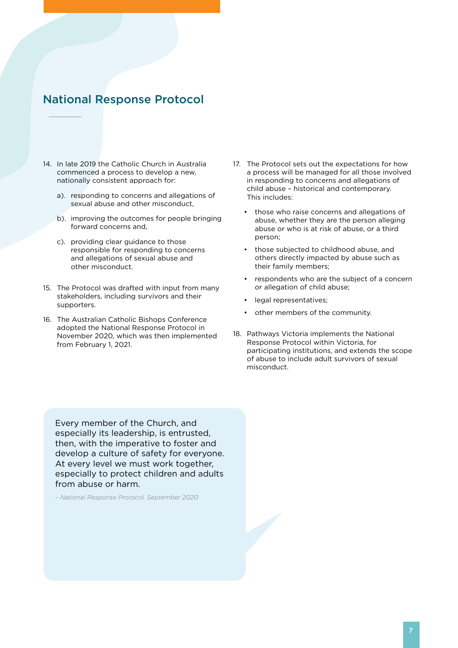### National Response Protocol

- 14. In late 2019 the Catholic Church in Australia commenced a process to develop a new, nationally consistent approach for:
	- a). responding to concerns and allegations of sexual abuse and other misconduct,
	- b). improving the outcomes for people bringing forward concerns and,
	- c). providing clear guidance to those responsible for responding to concerns and allegations of sexual abuse and other misconduct.
- 15. The Protocol was drafted with input from many stakeholders, including survivors and their supporters.
- 16. The Australian Catholic Bishops Conference adopted the National Response Protocol in November 2020, which was then implemented from February 1, 2021.
- 17. The Protocol sets out the expectations for how a process will be managed for all those involved in responding to concerns and allegations of child abuse – historical and contemporary. This includes:
	- those who raise concerns and allegations of abuse, whether they are the person alleging abuse or who is at risk of abuse, or a third person;
	- those subjected to childhood abuse, and others directly impacted by abuse such as their family members;
	- respondents who are the subject of a concern or allegation of child abuse;
	- legal representatives;
	- other members of the community.
- 18. Pathways Victoria implements the National Response Protocol within Victoria, for participating institutions, and extends the scope of abuse to include adult survivors of sexual misconduct.

Every member of the Church, and especially its leadership, is entrusted, then, with the imperative to foster and develop a culture of safety for everyone. At every level we must work together, especially to protect children and adults from abuse or harm.

*– National Response Protocol, September 2020*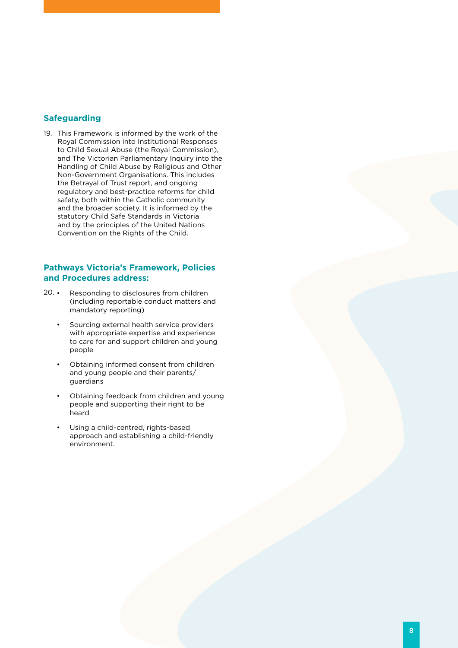### **Safeguarding**

19. This Framework is informed by the work of the Royal Commission into Institutional Responses to Child Sexual Abuse (the Royal Commission), and The Victorian Parliamentary Inquiry into the Handling of Child Abuse by Religious and Other Non-Government Organisations. This includes the Betrayal of Trust report, and ongoing regulatory and best-practice reforms for child safety, both within the Catholic community and the broader society. It is informed by the statutory Child Safe Standards in Victoria and by the principles of the United Nations Convention on the Rights of the Child.

### **Pathways Victoria's Framework, Policies and Procedures address:**

- Responding to disclosures from children (including reportable conduct matters and mandatory reporting)  $20.$ 
	- Sourcing external health service providers with appropriate expertise and experience to care for and support children and young people
	- Obtaining informed consent from children and young people and their parents/ guardians
	- Obtaining feedback from children and young people and supporting their right to be heard
	- Using a child-centred, rights-based approach and establishing a child-friendly environment.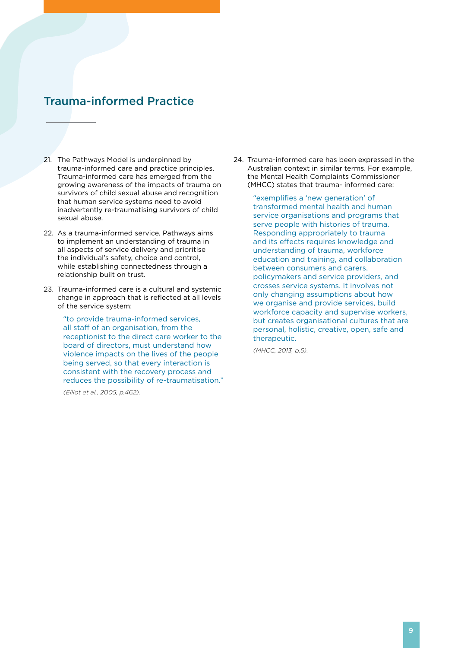### Trauma-informed Practice

- 21. The Pathways Model is underpinned by trauma-informed care and practice principles. Trauma-informed care has emerged from the growing awareness of the impacts of trauma on survivors of child sexual abuse and recognition that human service systems need to avoid inadvertently re-traumatising survivors of child sexual abuse.
- 22. As a trauma-informed service, Pathways aims to implement an understanding of trauma in all aspects of service delivery and prioritise the individual's safety, choice and control, while establishing connectedness through a relationship built on trust.
- 23. Trauma-informed care is a cultural and systemic change in approach that is reflected at all levels of the service system:

"to provide trauma-informed services, all staff of an organisation, from the receptionist to the direct care worker to the board of directors, must understand how violence impacts on the lives of the people being served, so that every interaction is consistent with the recovery process and reduces the possibility of re-traumatisation."

*(Elliot et al., 2005, p.462).*

24. Trauma-informed care has been expressed in the Australian context in similar terms. For example, the Mental Health Complaints Commissioner (MHCC) states that trauma- informed care:

> "exemplifies a 'new generation' of transformed mental health and human service organisations and programs that serve people with histories of trauma. Responding appropriately to trauma and its effects requires knowledge and understanding of trauma, workforce education and training, and collaboration between consumers and carers, policymakers and service providers, and crosses service systems. It involves not only changing assumptions about how we organise and provide services, build workforce capacity and supervise workers, but creates organisational cultures that are personal, holistic, creative, open, safe and therapeutic.

*(MHCC, 2013, p.5).*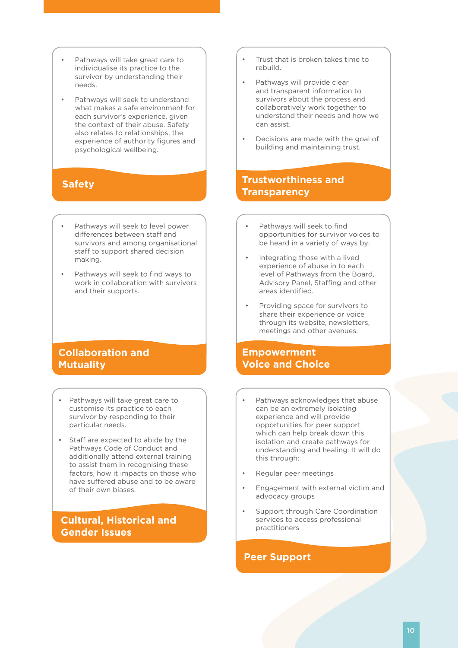- Pathways will take great care to individualise its practice to the survivor by understanding their needs.
- Pathways will seek to understand what makes a safe environment for each survivor's experience, given the context of their abuse. Safety also relates to relationships, the experience of authority figures and psychological wellbeing.

- Pathways will seek to level power differences between staff and survivors and among organisational staff to support shared decision making.
- Pathways will seek to find ways to work in collaboration with survivors and their supports.

### **Collaboration and Mutuality**

- Pathways will take great care to customise its practice to each survivor by responding to their particular needs.
- Staff are expected to abide by the Pathways Code of Conduct and additionally attend external training to assist them in recognising these factors, how it impacts on those who have suffered abuse and to be aware of their own biases.

### **Cultural, Historical and Gender Issues**

- Trust that is broken takes time to rebuild.
- • Pathways will provide clear and transparent information to survivors about the process and collaboratively work together to understand their needs and how we can assist.
- Decisions are made with the goal of building and maintaining trust.

### **Safety Safety Trustworthiness and Transparency**

- Pathways will seek to find opportunities for survivor voices to be heard in a variety of ways by:
- Integrating those with a lived experience of abuse in to each level of Pathways from the Board, Advisory Panel, Staffing and other areas identified.
- Providing space for survivors to share their experience or voice through its website, newsletters, meetings and other avenues.

### **Empowerment Voice and Choice**

- Pathways acknowledges that abuse can be an extremely isolating experience and will provide opportunities for peer support which can help break down this isolation and create pathways for understanding and healing. It will do this through:
- Regular peer meetings
- Engagement with external victim and advocacy groups
- Support through Care Coordination services to access professional practitioners

### **Peer Support**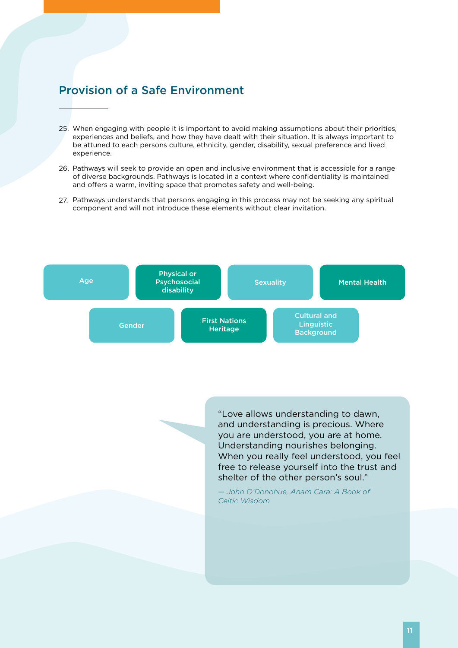### Provision of a Safe Environment

- 25. When engaging with people it is important to avoid making assumptions about their priorities, experiences and beliefs, and how they have dealt with their situation. It is always important to be attuned to each persons culture, ethnicity, gender, disability, sexual preference and lived experience.
- 26. Pathways will seek to provide an open and inclusive environment that is accessible for a range of diverse backgrounds. Pathways is located in a context where confidentiality is maintained and offers a warm, inviting space that promotes safety and well-being.
- 27. Pathways understands that persons engaging in this process may not be seeking any spiritual component and will not introduce these elements without clear invitation.



"Love allows understanding to dawn, and understanding is precious. Where you are understood, you are at home. Understanding nourishes belonging. When you really feel understood, you feel free to release yourself into the trust and shelter of the other person's soul."

*— John O'Donohue, Anam Cara: A Book of Celtic Wisdom*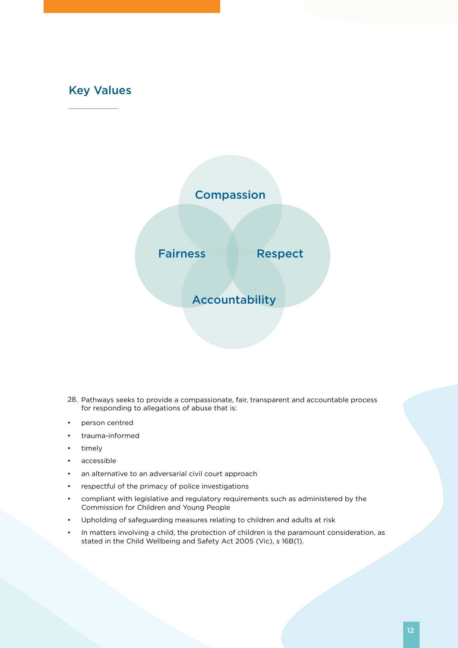### Key Values



- 28. Pathways seeks to provide a compassionate, fair, transparent and accountable process for responding to allegations of abuse that is:
- person centred
- trauma-informed
- timely
- accessible
- an alternative to an adversarial civil court approach
- respectful of the primacy of police investigations
- • compliant with legislative and regulatory requirements such as administered by the Commission for Children and Young People
- Upholding of safeguarding measures relating to children and adults at risk
- In matters involving a child, the protection of children is the paramount consideration, as stated in the Child Wellbeing and Safety Act 2005 (Vic), s 16B(1).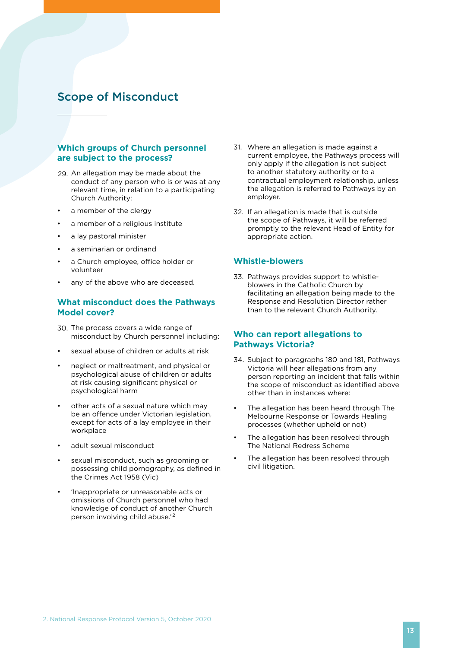### Scope of Misconduct

### **Which groups of Church personnel are subject to the process?**

- 29. An allegation may be made about the conduct of any person who is or was at any relevant time, in relation to a participating Church Authority:
- a member of the clergy
- a member of a religious institute
- a lay pastoral minister
- a seminarian or ordinand
- a Church employee, office holder or volunteer
- any of the above who are deceased.

### **What misconduct does the Pathways Model cover?**

- 30. The process covers a wide range of misconduct by Church personnel including:
- sexual abuse of children or adults at risk
- neglect or maltreatment, and physical or psychological abuse of children or adults at risk causing significant physical or psychological harm
- other acts of a sexual nature which may be an offence under Victorian legislation, except for acts of a lay employee in their workplace
- adult sexual misconduct
- sexual misconduct, such as grooming or possessing child pornography, as defined in the Crimes Act 1958 (Vic)
- 'Inappropriate or unreasonable acts or omissions of Church personnel who had knowledge of conduct of another Church person involving child abuse.'2
- 31. Where an allegation is made against a current employee, the Pathways process will only apply if the allegation is not subject to another statutory authority or to a contractual employment relationship, unless the allegation is referred to Pathways by an employer.
- 32. If an allegation is made that is outside the scope of Pathways, it will be referred promptly to the relevant Head of Entity for appropriate action.

### **Whistle-blowers**

33. Pathways provides support to whistleblowers in the Catholic Church by facilitating an allegation being made to the Response and Resolution Director rather than to the relevant Church Authority.

### **Who can report allegations to Pathways Victoria?**

- 34. Subject to paragraphs 180 and 181, Pathways Victoria will hear allegations from any person reporting an incident that falls within the scope of misconduct as identified above other than in instances where:
- The allegation has been heard through The Melbourne Response or Towards Healing processes (whether upheld or not)
- The allegation has been resolved through The National Redress Scheme
- The allegation has been resolved through civil litigation.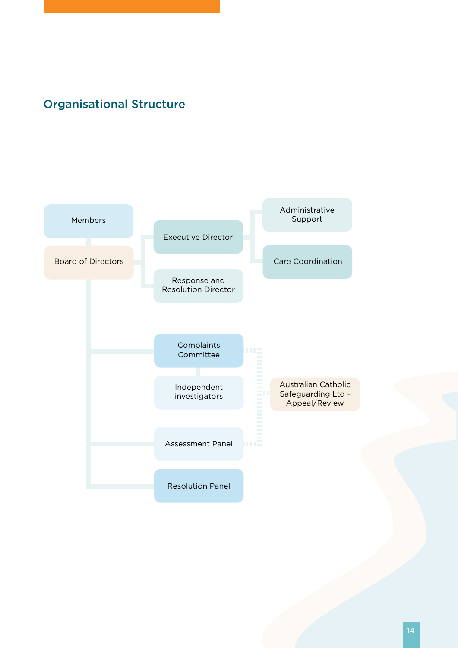## Organisational Structure

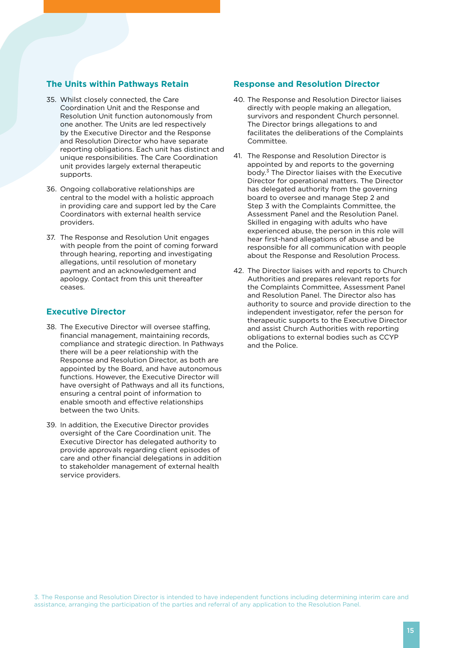### **The Units within Pathways Retain**

- 35. Whilst closely connected, the Care Coordination Unit and the Response and Resolution Unit function autonomously from one another. The Units are led respectively by the Executive Director and the Response and Resolution Director who have separate reporting obligations. Each unit has distinct and unique responsibilities. The Care Coordination unit provides largely external therapeutic supports.
- 36. Ongoing collaborative relationships are central to the model with a holistic approach in providing care and support led by the Care Coordinators with external health service providers.
- 37. The Response and Resolution Unit engages with people from the point of coming forward through hearing, reporting and investigating allegations, until resolution of monetary payment and an acknowledgement and apology. Contact from this unit thereafter ceases.

### **Executive Director**

- 38. The Executive Director will oversee staffing, financial management, maintaining records, compliance and strategic direction. In Pathways there will be a peer relationship with the Response and Resolution Director, as both are appointed by the Board, and have autonomous functions. However, the Executive Director will have oversight of Pathways and all its functions, ensuring a central point of information to enable smooth and effective relationships between the two Units.
- 39. In addition, the Executive Director provides oversight of the Care Coordination unit. The Executive Director has delegated authority to provide approvals regarding client episodes of care and other financial delegations in addition to stakeholder management of external health service providers.

### **Response and Resolution Director**

- 40. The Response and Resolution Director liaises directly with people making an allegation, survivors and respondent Church personnel. The Director brings allegations to and facilitates the deliberations of the Complaints Committee.
- 41. The Response and Resolution Director is appointed by and reports to the governing body.3 The Director liaises with the Executive Director for operational matters. The Director has delegated authority from the governing board to oversee and manage Step 2 and Step 3 with the Complaints Committee, the Assessment Panel and the Resolution Panel. Skilled in engaging with adults who have experienced abuse, the person in this role will hear first-hand allegations of abuse and be responsible for all communication with people about the Response and Resolution Process.
- 42. The Director liaises with and reports to Church Authorities and prepares relevant reports for the Complaints Committee, Assessment Panel and Resolution Panel. The Director also has authority to source and provide direction to the independent investigator, refer the person for therapeutic supports to the Executive Director and assist Church Authorities with reporting obligations to external bodies such as CCYP and the Police.

3. The Response and Resolution Director is intended to have independent functions including determining interim care and assistance, arranging the participation of the parties and referral of any application to the Resolution Panel.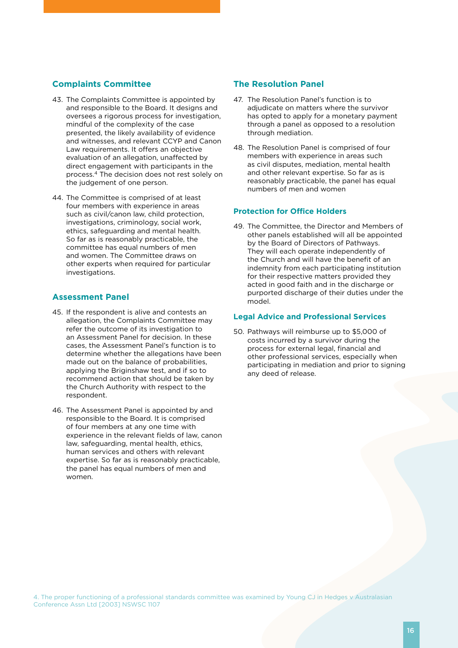### **Complaints Committee**

- 43. The Complaints Committee is appointed by and responsible to the Board. It designs and oversees a rigorous process for investigation, mindful of the complexity of the case presented, the likely availability of evidence and witnesses, and relevant CCYP and Canon Law requirements. It offers an objective evaluation of an allegation, unaffected by direct engagement with participants in the process.4 The decision does not rest solely on the judgement of one person.
- 44. The Committee is comprised of at least four members with experience in areas such as civil/canon law, child protection, investigations, criminology, social work, ethics, safeguarding and mental health. So far as is reasonably practicable, the committee has equal numbers of men and women. The Committee draws on other experts when required for particular investigations.

### **Assessment Panel**

- 45. If the respondent is alive and contests an allegation, the Complaints Committee may refer the outcome of its investigation to an Assessment Panel for decision. In these cases, the Assessment Panel's function is to determine whether the allegations have been made out on the balance of probabilities, applying the Briginshaw test, and if so to recommend action that should be taken by the Church Authority with respect to the respondent.
- 46. The Assessment Panel is appointed by and responsible to the Board. It is comprised of four members at any one time with experience in the relevant fields of law, canon law, safeguarding, mental health, ethics, human services and others with relevant expertise. So far as is reasonably practicable, the panel has equal numbers of men and women.

### **The Resolution Panel**

- 47. The Resolution Panel's function is to adjudicate on matters where the survivor has opted to apply for a monetary payment through a panel as opposed to a resolution through mediation.
- 48. The Resolution Panel is comprised of four members with experience in areas such as civil disputes, mediation, mental health and other relevant expertise. So far as is reasonably practicable, the panel has equal numbers of men and women

### **Protection for Office Holders**

49. The Committee, the Director and Members of other panels established will all be appointed by the Board of Directors of Pathways. They will each operate independently of the Church and will have the benefit of an indemnity from each participating institution for their respective matters provided they acted in good faith and in the discharge or purported discharge of their duties under the model.

### **Legal Advice and Professional Services**

50. Pathways will reimburse up to \$5,000 of costs incurred by a survivor during the process for external legal, financial and other professional services, especially when participating in mediation and prior to signing any deed of release.

4. The proper functioning of a professional standards committee was examined by Young CJ in Hedges v Australasian Conference Assn Ltd [2003] NSWSC 1107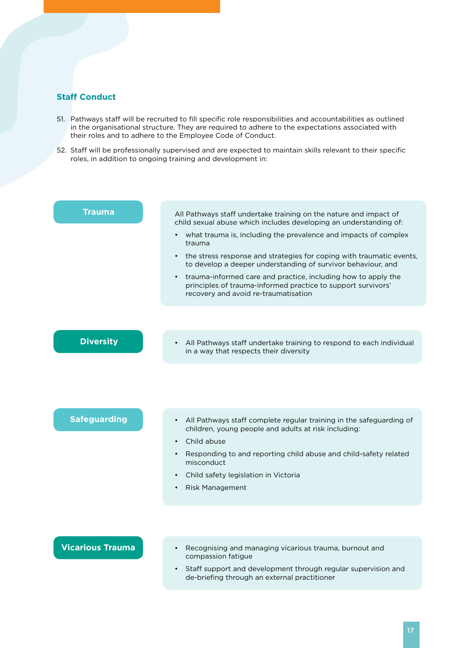### **Staff Conduct**

- 51. Pathways staff will be recruited to fill specific role responsibilities and accountabilities as outlined in the organisational structure. They are required to adhere to the expectations associated with their roles and to adhere to the Employee Code of Conduct.
- 52. Staff will be professionally supervised and are expected to maintain skills relevant to their specific roles, in addition to ongoing training and development in:

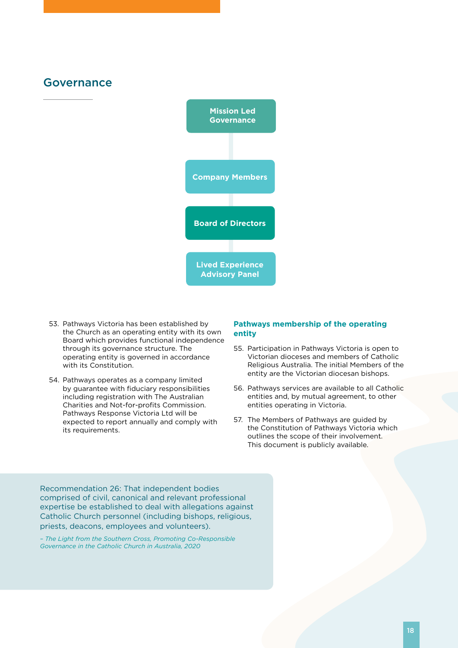

- 53. Pathways Victoria has been established by the Church as an operating entity with its own Board which provides functional independence through its governance structure. The operating entity is governed in accordance with its Constitution.
- 54. Pathways operates as a company limited by guarantee with fiduciary responsibilities including registration with The Australian Charities and Not-for-profits Commission. Pathways Response Victoria Ltd will be expected to report annually and comply with its requirements.

### **Pathways membership of the operating entity**

- 55. Participation in Pathways Victoria is open to Victorian dioceses and members of Catholic Religious Australia. The initial Members of the entity are the Victorian diocesan bishops.
- 56. Pathways services are available to all Catholic entities and, by mutual agreement, to other entities operating in Victoria.
- 57. The Members of Pathways are guided by the Constitution of Pathways Victoria which outlines the scope of their involvement. This document is publicly available.

Recommendation 26: That independent bodies comprised of civil, canonical and relevant professional expertise be established to deal with allegations against Catholic Church personnel (including bishops, religious, priests, deacons, employees and volunteers).

*– The Light from the Southern Cross, Promoting Co-Responsible Governance in the Catholic Church in Australia, 2020*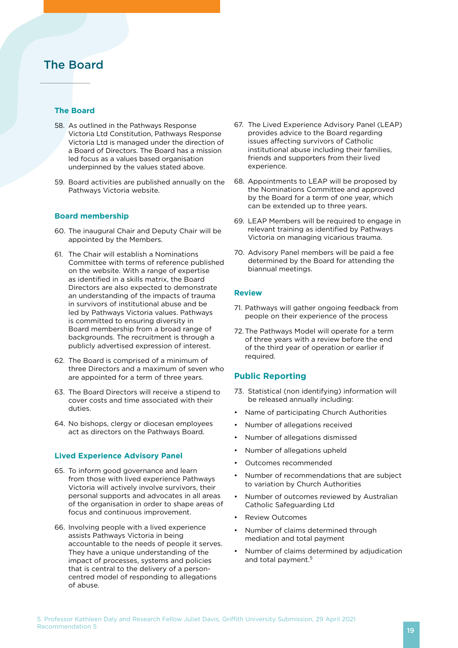### The Board

### **The Board**

- 58. As outlined in the Pathways Response Victoria Ltd Constitution, Pathways Response Victoria Ltd is managed under the direction of a Board of Directors. The Board has a mission led focus as a values based organisation underpinned by the values stated above.
- 59. Board activities are published annually on the Pathways Victoria website.

### **Board membership**

- 60. The inaugural Chair and Deputy Chair will be appointed by the Members.
- 61. The Chair will establish a Nominations Committee with terms of reference published on the website. With a range of expertise as identified in a skills matrix, the Board Directors are also expected to demonstrate an understanding of the impacts of trauma in survivors of institutional abuse and be led by Pathways Victoria values. Pathways is committed to ensuring diversity in Board membership from a broad range of backgrounds. The recruitment is through a publicly advertised expression of interest.
- 62. The Board is comprised of a minimum of three Directors and a maximum of seven who are appointed for a term of three years.
- 63. The Board Directors will receive a stipend to cover costs and time associated with their duties.
- 64. No bishops, clergy or diocesan employees act as directors on the Pathways Board.

### **Lived Experience Advisory Panel**

- 65. To inform good governance and learn from those with lived experience Pathways Victoria will actively involve survivors, their personal supports and advocates in all areas of the organisation in order to shape areas of focus and continuous improvement.
- 66. Involving people with a lived experience assists Pathways Victoria in being accountable to the needs of people it serves. They have a unique understanding of the impact of processes, systems and policies that is central to the delivery of a personcentred model of responding to allegations of abuse.
- 67. The Lived Experience Advisory Panel (LEAP) provides advice to the Board regarding issues affecting survivors of Catholic institutional abuse including their families, friends and supporters from their lived experience.
- 68. Appointments to LEAP will be proposed by the Nominations Committee and approved by the Board for a term of one year, which can be extended up to three years.
- 69. LEAP Members will be required to engage in relevant training as identified by Pathways Victoria on managing vicarious trauma.
- 70. Advisory Panel members will be paid a fee determined by the Board for attending the biannual meetings.

### **Review**

- 71. Pathways will gather ongoing feedback from people on their experience of the process
- 72.The Pathways Model will operate for a term of three years with a review before the end of the third year of operation or earlier if required.

### **Public Reporting**

- 73. Statistical (non identifying) information will be released annually including:
- Name of participating Church Authorities
- Number of allegations received
- Number of allegations dismissed
- Number of allegations upheld
- Outcomes recommended
- Number of recommendations that are subject to variation by Church Authorities
- Number of outcomes reviewed by Australian Catholic Safeguarding Ltd
- • Review Outcomes
- Number of claims determined through mediation and total payment
- Number of claims determined by adjudication and total payment.<sup>5</sup>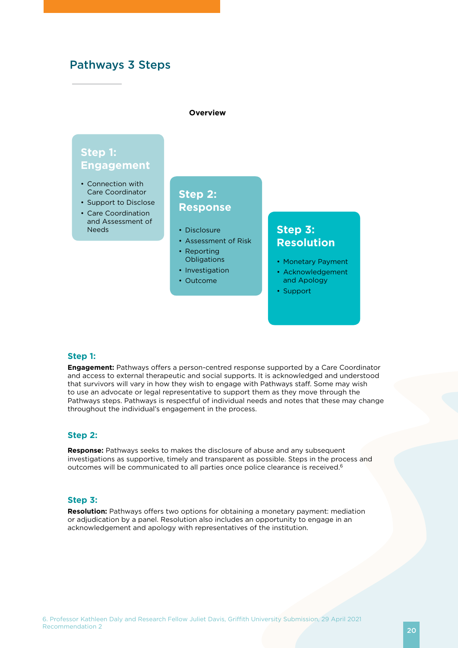### Pathways 3 Steps

#### **Overview**

### **Step 1: Engagement**

- Connection with Care Coordinator
- Support to Disclose
- Care Coordination and Assessment of Needs **•** Disclosure

### **Step 2: Response**

- 
- • Assessment of Risk • Reporting
- **Obligations**
- Investigation
- Outcome

### **Step 3: Resolution**

- Monetary Payment
- Acknowledgement and Apology
- • Support

### **Step 1:**

**Engagement:** Pathways offers a person-centred response supported by a Care Coordinator and access to external therapeutic and social supports. It is acknowledged and understood that survivors will vary in how they wish to engage with Pathways staff. Some may wish to use an advocate or legal representative to support them as they move through the Pathways steps. Pathways is respectful of individual needs and notes that these may change throughout the individual's engagement in the process.

### **Step 2:**

**Response:** Pathways seeks to makes the disclosure of abuse and any subsequent investigations as supportive, timely and transparent as possible. Steps in the process and outcomes will be communicated to all parties once police clearance is received.<sup>6</sup>

### **Step 3:**

**Resolution:** Pathways offers two options for obtaining a monetary payment: mediation or adjudication by a panel. Resolution also includes an opportunity to engage in an acknowledgement and apology with representatives of the institution.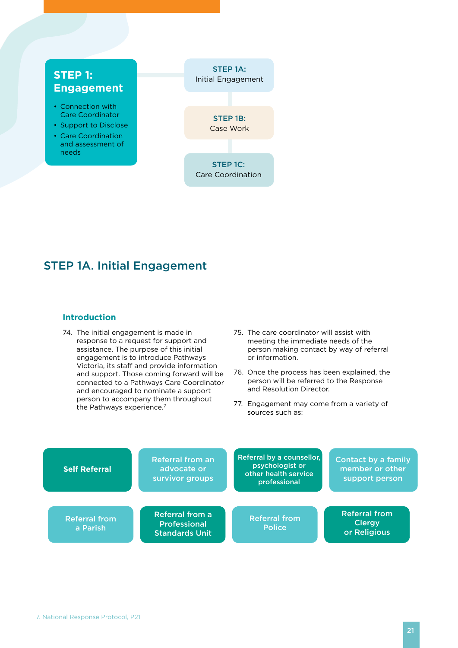

### STEP 1A. Initial Engagement

### **Introduction**

- 74. The initial engagement is made in response to a request for support and assistance. The purpose of this initial engagement is to introduce Pathways Victoria, its staff and provide information and support. Those coming forward will be connected to a Pathways Care Coordinator and encouraged to nominate a support person to accompany them throughout the Pathways experience.<sup>7</sup>
- 75. The care coordinator will assist with meeting the immediate needs of the person making contact by way of referral or information.
- 76. Once the process has been explained, the person will be referred to the Response and Resolution Director.
- 77. Engagement may come from a variety of sources such as:

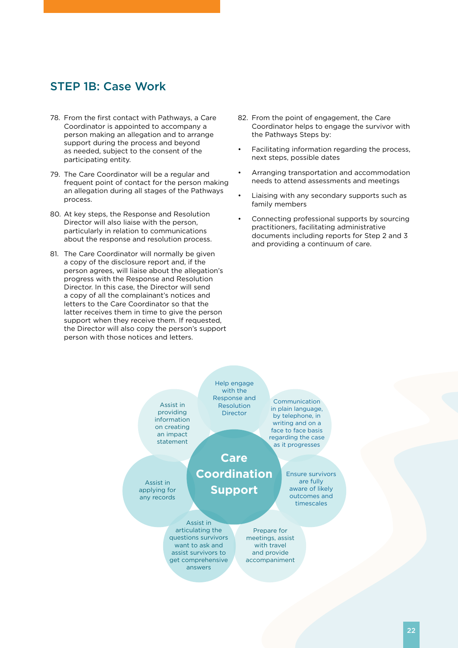### STEP 1B: Case Work

- 78. From the first contact with Pathways, a Care Coordinator is appointed to accompany a person making an allegation and to arrange support during the process and beyond as needed, subject to the consent of the participating entity.
- 79. The Care Coordinator will be a regular and frequent point of contact for the person making an allegation during all stages of the Pathways process.
- 80. At key steps, the Response and Resolution Director will also liaise with the person, particularly in relation to communications about the response and resolution process.
- 81. The Care Coordinator will normally be given a copy of the disclosure report and, if the person agrees, will liaise about the allegation's progress with the Response and Resolution Director. In this case, the Director will send a copy of all the complainant's notices and letters to the Care Coordinator so that the latter receives them in time to give the person support when they receive them. If requested, the Director will also copy the person's support person with those notices and letters.
- 82. From the point of engagement, the Care Coordinator helps to engage the survivor with the Pathways Steps by:
- Facilitating information regarding the process, next steps, possible dates
- Arranging transportation and accommodation needs to attend assessments and meetings
- Liaising with any secondary supports such as family members
- Connecting professional supports by sourcing practitioners, facilitating administrative documents including reports for Step 2 and 3 and providing a continuum of care.

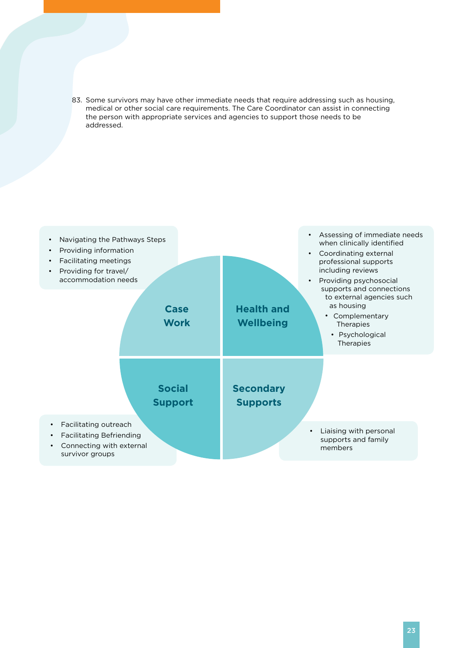83. Some survivors may have other immediate needs that require addressing such as housing, medical or other social care requirements. The Care Coordinator can assist in connecting the person with appropriate services and agencies to support those needs to be addressed.

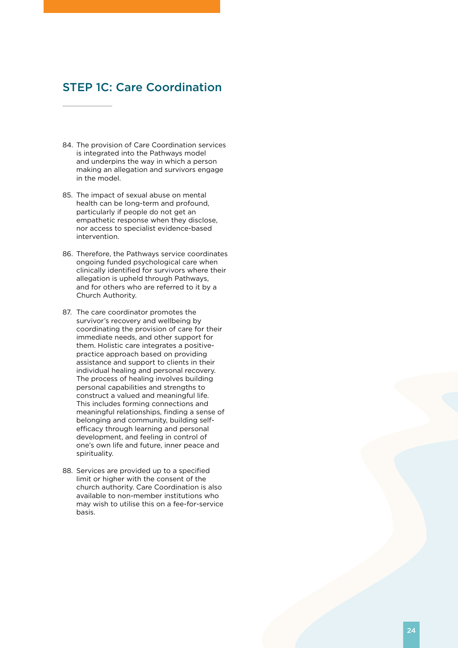### STEP 1C: Care Coordination

- 84. The provision of Care Coordination services is integrated into the Pathways model and underpins the way in which a person making an allegation and survivors engage in the model.
- 85. The impact of sexual abuse on mental health can be long-term and profound, particularly if people do not get an empathetic response when they disclose, nor access to specialist evidence-based intervention.
- 86. Therefore, the Pathways service coordinates ongoing funded psychological care when clinically identified for survivors where their allegation is upheld through Pathways, and for others who are referred to it by a Church Authority.
- 87. The care coordinator promotes the survivor's recovery and wellbeing by coordinating the provision of care for their immediate needs, and other support for them. Holistic care integrates a positivepractice approach based on providing assistance and support to clients in their individual healing and personal recovery. The process of healing involves building personal capabilities and strengths to construct a valued and meaningful life. This includes forming connections and meaningful relationships, finding a sense of belonging and community, building selfefficacy through learning and personal development, and feeling in control of one's own life and future, inner peace and spirituality.
- 88. Services are provided up to a specified limit or higher with the consent of the church authority. Care Coordination is also available to non-member institutions who may wish to utilise this on a fee-for-service basis.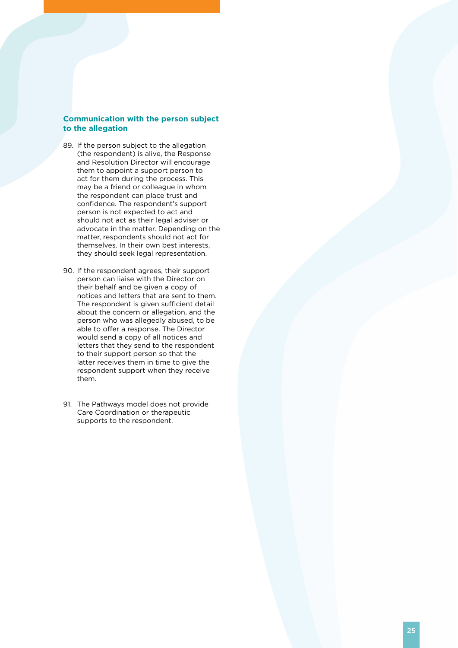### **Communication with the person subject to the allegation**

- 89. If the person subject to the allegation (the respondent) is alive, the Response and Resolution Director will encourage them to appoint a support person to act for them during the process. This may be a friend or colleague in whom the respondent can place trust and confidence. The respondent's support person is not expected to act and should not act as their legal adviser or advocate in the matter. Depending on the matter, respondents should not act for themselves. In their own best interests, they should seek legal representation.
- 90. If the respondent agrees, their support person can liaise with the Director on their behalf and be given a copy of notices and letters that are sent to them. The respondent is given sufficient detail about the concern or allegation, and the person who was allegedly abused, to be able to offer a response. The Director would send a copy of all notices and letters that they send to the respondent to their support person so that the latter receives them in time to give the respondent support when they receive them.
- 91. The Pathways model does not provide Care Coordination or therapeutic supports to the respondent.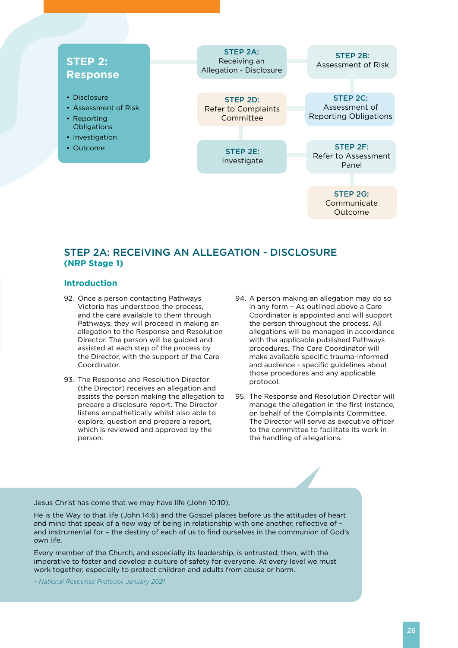

### STEP 2A: RECEIVING AN ALLEGATION - DISCLOSURE **(NRP Stage 1)**

### **Introduction**

- 92. Once a person contacting Pathways Victoria has understood the process, and the care available to them through Pathways, they will proceed in making an allegation to the Response and Resolution Director. The person will be guided and assisted at each step of the process by the Director, with the support of the Care Coordinator.
- 93. The Response and Resolution Director (the Director) receives an allegation and assists the person making the allegation to prepare a disclosure report. The Director listens empathetically whilst also able to explore, question and prepare a report, which is reviewed and approved by the person.
- 94. A person making an allegation may do so in any form – As outlined above a Care Coordinator is appointed and will support the person throughout the process. All allegations will be managed in accordance with the applicable published Pathways procedures. The Care Coordinator will make available specific trauma-informed and audience - specific guidelines about those procedures and any applicable protocol.
- 95. The Response and Resolution Director will manage the allegation in the first instance, on behalf of the Complaints Committee. The Director will serve as executive officer to the committee to facilitate its work in the handling of allegations.

Jesus Christ has come that we may have life (John 10:10).

He is the Way to that life (John 14:6) and the Gospel places before us the attitudes of heart and mind that speak of a new way of being in relationship with one another, reflective of – and instrumental for – the destiny of each of us to find ourselves in the communion of God's own life.

Every member of the Church, and especially its leadership, is entrusted, then, with the imperative to foster and develop a culture of safety for everyone. At every level we must work together, especially to protect children and adults from abuse or harm.

*– National Response Protocol, January 2021*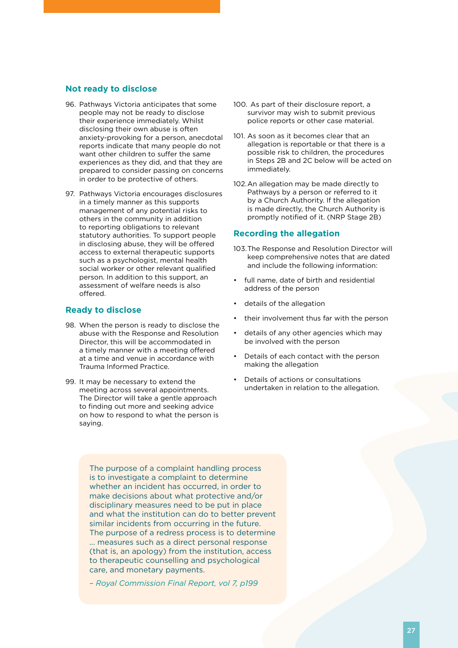### **Not ready to disclose**

- 96. Pathways Victoria anticipates that some people may not be ready to disclose their experience immediately. Whilst disclosing their own abuse is often anxiety-provoking for a person, anecdotal reports indicate that many people do not want other children to suffer the same experiences as they did, and that they are prepared to consider passing on concerns in order to be protective of others.
- 97. Pathways Victoria encourages disclosures in a timely manner as this supports management of any potential risks to others in the community in addition to reporting obligations to relevant statutory authorities. To support people in disclosing abuse, they will be offered access to external therapeutic supports such as a psychologist, mental health social worker or other relevant qualified person. In addition to this support, an assessment of welfare needs is also offered.

### **Ready to disclose**

- 98. When the person is ready to disclose the abuse with the Response and Resolution Director, this will be accommodated in a timely manner with a meeting offered at a time and venue in accordance with Trauma Informed Practice.
- 99. It may be necessary to extend the meeting across several appointments. The Director will take a gentle approach to finding out more and seeking advice on how to respond to what the person is saying.
- 100. As part of their disclosure report, a survivor may wish to submit previous police reports or other case material.
- 101. As soon as it becomes clear that an allegation is reportable or that there is a possible risk to children, the procedures in Steps 2B and 2C below will be acted on immediately.
- 102.An allegation may be made directly to Pathways by a person or referred to it by a Church Authority. If the allegation is made directly, the Church Authority is promptly notified of it. (NRP Stage 2B)

### **Recording the allegation**

- 103.The Response and Resolution Director will keep comprehensive notes that are dated and include the following information:
- • full name, date of birth and residential address of the person
- details of the allegation
- their involvement thus far with the person
- details of any other agencies which may be involved with the person
- Details of each contact with the person making the allegation
- Details of actions or consultations undertaken in relation to the allegation.

The purpose of a complaint handling process is to investigate a complaint to determine whether an incident has occurred, in order to make decisions about what protective and/or disciplinary measures need to be put in place and what the institution can do to better prevent similar incidents from occurring in the future. The purpose of a redress process is to determine ... measures such as a direct personal response (that is, an apology) from the institution, access to therapeutic counselling and psychological care, and monetary payments.

*– Royal Commission Final Report, vol 7, p199*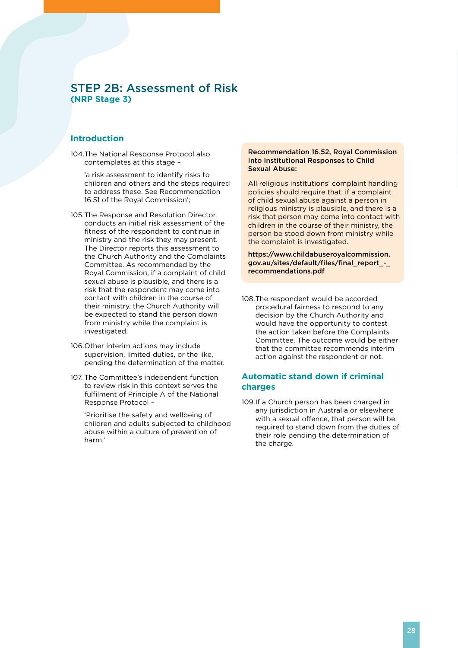### STEP 2B: Assessment of Risk **(NRP Stage 3)**

### **Introduction**

104.The National Response Protocol also contemplates at this stage –

'a risk assessment to identify risks to children and others and the steps required to address these. See Recommendation 16.51 of the Royal Commission';

- 105.The Response and Resolution Director conducts an initial risk assessment of the fitness of the respondent to continue in ministry and the risk they may present. The Director reports this assessment to the Church Authority and the Complaints Committee. As recommended by the Royal Commission, if a complaint of child sexual abuse is plausible, and there is a risk that the respondent may come into contact with children in the course of their ministry, the Church Authority will be expected to stand the person down from ministry while the complaint is investigated.
- 106.Other interim actions may include supervision, limited duties, or the like, pending the determination of the matter.
- 107. The Committee's independent function to review risk in this context serves the fulfilment of Principle A of the National Response Protocol –

'Prioritise the safety and wellbeing of children and adults subjected to childhood abuse within a culture of prevention of harm.'

#### Recommendation 16.52, Royal Commission Into Institutional Responses to Child Sexual Abuse:

All religious institutions' complaint handling policies should require that, if a complaint of child sexual abuse against a person in religious ministry is plausible, and there is a risk that person may come into contact with children in the course of their ministry, the person be stood down from ministry while the complaint is investigated.

https://www.childabuseroyalcommission. gov.au/sites/default/files/final\_report\_-\_ recommendations.pdf

108.The respondent would be accorded procedural fairness to respond to any decision by the Church Authority and would have the opportunity to contest the action taken before the Complaints Committee. The outcome would be either that the committee recommends interim action against the respondent or not.

### **Automatic stand down if criminal charges**

109. If a Church person has been charged in any jurisdiction in Australia or elsewhere with a sexual offence, that person will be required to stand down from the duties of their role pending the determination of the charge.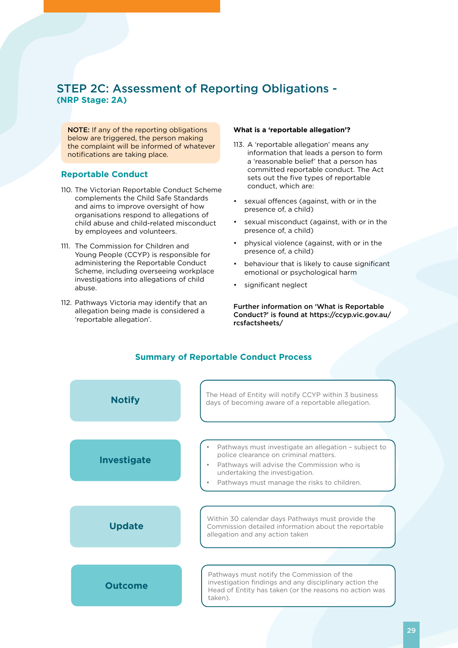### STEP 2C: Assessment of Reporting Obligations - **(NRP Stage: 2A)**

NOTE: If any of the reporting obligations below are triggered, the person making the complaint will be informed of whatever notifications are taking place.

### **Reportable Conduct**

- 110. The Victorian Reportable Conduct Scheme complements the Child Safe Standards and aims to improve oversight of how organisations respond to allegations of child abuse and child-related misconduct by employees and volunteers.
- 111. The Commission for Children and Young People (CCYP) is responsible for administering the Reportable Conduct Scheme, including overseeing workplace investigations into allegations of child abuse.
- 112. Pathways Victoria may identify that an allegation being made is considered a 'reportable allegation'.

### **What is a 'reportable allegation'?**

- 113. A 'reportable allegation' means any information that leads a person to form a 'reasonable belief' that a person has committed reportable conduct. The Act sets out the five types of reportable conduct, which are:
- • sexual offences (against, with or in the presence of, a child)
- sexual misconduct (against, with or in the presence of, a child)
- • physical violence (against, with or in the presence of, a child)
- behaviour that is likely to cause significant emotional or psychological harm
- significant neglect

Further information on 'What is Reportable Conduct?' is found at https://ccyp.vic.gov.au/ rcsfactsheets/



### **Summary of Reportable Conduct Process**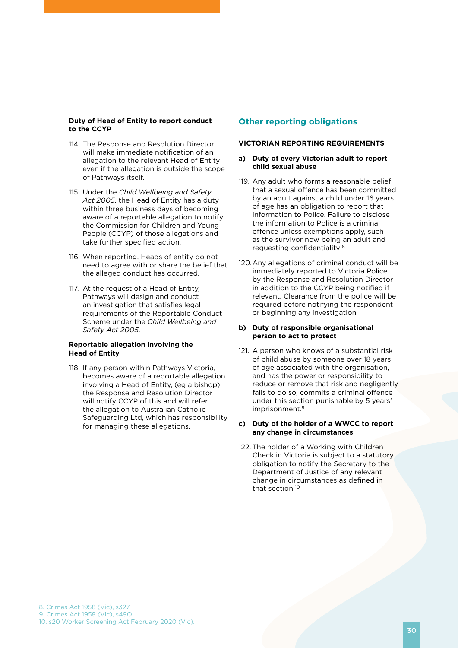### **Duty of Head of Entity to report conduct to the CCYP**

- 114. The Response and Resolution Director will make immediate notification of an allegation to the relevant Head of Entity even if the allegation is outside the scope of Pathways itself.
- 115. Under the *Child Wellbeing and Safety Act 2005*, the Head of Entity has a duty within three business days of becoming aware of a reportable allegation to notify the Commission for Children and Young People (CCYP) of those allegations and take further specified action.
- 116. When reporting, Heads of entity do not need to agree with or share the belief that the alleged conduct has occurred.
- 117. At the request of a Head of Entity, Pathways will design and conduct an investigation that satisfies legal requirements of the Reportable Conduct Scheme under the *Child Wellbeing and Safety Act 2005*.

### **Reportable allegation involving the Head of Entity**

118. If any person within Pathways Victoria, becomes aware of a reportable allegation involving a Head of Entity, (eg a bishop) the Response and Resolution Director will notify CCYP of this and will refer the allegation to Australian Catholic Safeguarding Ltd, which has responsibility for managing these allegations.

### **Other reporting obligations**

### **VICTORIAN REPORTING REQUIREMENTS**

#### **a) Duty of every Victorian adult to report child sexual abuse**

- 119. Any adult who forms a reasonable belief that a sexual offence has been committed by an adult against a child under 16 years of age has an obligation to report that information to Police. Failure to disclose the information to Police is a criminal offence unless exemptions apply, such as the survivor now being an adult and requesting confidentiality:8
- 120.Any allegations of criminal conduct will be immediately reported to Victoria Police by the Response and Resolution Director in addition to the CCYP being notified if relevant. Clearance from the police will be required before notifying the respondent or beginning any investigation.

### **b) Duty of responsible organisational person to act to protect**

121. A person who knows of a substantial risk of child abuse by someone over 18 years of age associated with the organisation, and has the power or responsibility to reduce or remove that risk and negligently fails to do so, commits a criminal offence under this section punishable by 5 years' imprisonment.9

### **c) Duty of the holder of a WWCC to report any change in circumstances**

122. The holder of a Working with Children Check in Victoria is subject to a statutory obligation to notify the Secretary to the Department of Justice of any relevant change in circumstances as defined in that section:10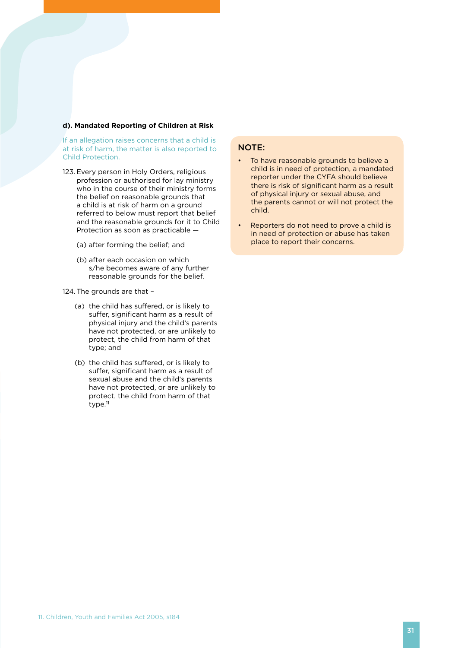### **d). Mandated Reporting of Children at Risk**

If an allegation raises concerns that a child is at risk of harm, the matter is also reported to Child Protection.

- 123. Every person in Holy Orders, religious profession or authorised for lay ministry who in the course of their ministry forms the belief on reasonable grounds that a child is at risk of harm on a ground referred to below must report that belief and the reasonable grounds for it to Child Protection as soon as practicable —
	- (a) after forming the belief; and
	- (b) after each occasion on which s/he becomes aware of any further reasonable grounds for the belief.
- 124.The grounds are that
	- (a) the child has suffered, or is likely to suffer, significant harm as a result of physical injury and the child's parents have not protected, or are unlikely to protect, the child from harm of that type; and
	- (b) the child has suffered, or is likely to suffer, significant harm as a result of sexual abuse and the child's parents have not protected, or are unlikely to protect, the child from harm of that type.<sup>11</sup>

### NOTE:

- To have reasonable grounds to believe a child is in need of protection, a mandated reporter under the CYFA should believe there is risk of significant harm as a result of physical injury or sexual abuse, and the parents cannot or will not protect the child.
- Reporters do not need to prove a child is in need of protection or abuse has taken place to report their concerns.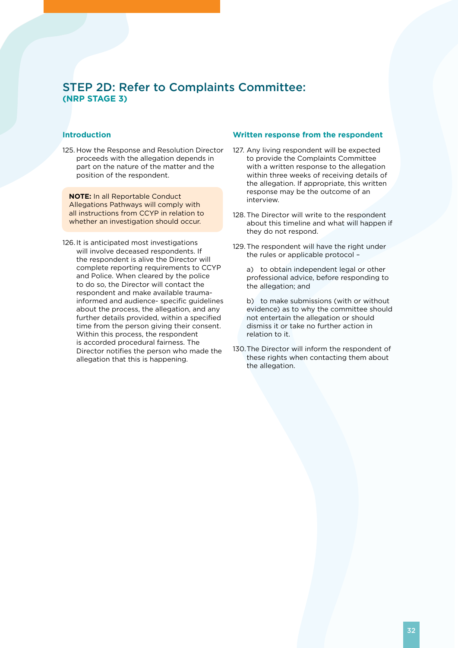### STEP 2D: Refer to Complaints Committee: **(NRP STAGE 3)**

### **Introduction**

125. How the Response and Resolution Director proceeds with the allegation depends in part on the nature of the matter and the position of the respondent.

**NOTE:** In all Reportable Conduct Allegations Pathways will comply with all instructions from CCYP in relation to whether an investigation should occur.

126. It is anticipated most investigations will involve deceased respondents. If the respondent is alive the Director will complete reporting requirements to CCYP and Police. When cleared by the police to do so, the Director will contact the respondent and make available traumainformed and audience- specific guidelines about the process, the allegation, and any further details provided, within a specified time from the person giving their consent. Within this process, the respondent is accorded procedural fairness. The Director notifies the person who made the allegation that this is happening.

#### **Written response from the respondent**

- 127. Any living respondent will be expected to provide the Complaints Committee with a written response to the allegation within three weeks of receiving details of the allegation. If appropriate, this written response may be the outcome of an interview.
- 128. The Director will write to the respondent about this timeline and what will happen if they do not respond.
- 129.The respondent will have the right under the rules or applicable protocol –

a) to obtain independent legal or other professional advice, before responding to the allegation; and

b) to make submissions (with or without evidence) as to why the committee should not entertain the allegation or should dismiss it or take no further action in relation to it.

130.The Director will inform the respondent of these rights when contacting them about the allegation.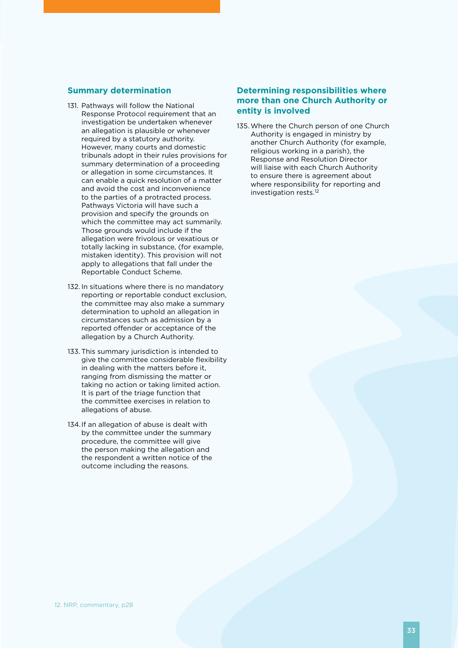### **Summary determination**

- 131. Pathways will follow the National Response Protocol requirement that an investigation be undertaken whenever an allegation is plausible or whenever required by a statutory authority. However, many courts and domestic tribunals adopt in their rules provisions for summary determination of a proceeding or allegation in some circumstances. It can enable a quick resolution of a matter and avoid the cost and inconvenience to the parties of a protracted process. Pathways Victoria will have such a provision and specify the grounds on which the committee may act summarily. Those grounds would include if the allegation were frivolous or vexatious or totally lacking in substance, (for example, mistaken identity). This provision will not apply to allegations that fall under the Reportable Conduct Scheme.
- 132. In situations where there is no mandatory reporting or reportable conduct exclusion, the committee may also make a summary determination to uphold an allegation in circumstances such as admission by a reported offender or acceptance of the allegation by a Church Authority.
- 133. This summary jurisdiction is intended to give the committee considerable flexibility in dealing with the matters before it, ranging from dismissing the matter or taking no action or taking limited action. It is part of the triage function that the committee exercises in relation to allegations of abuse.
- 134.If an allegation of abuse is dealt with by the committee under the summary procedure, the committee will give the person making the allegation and the respondent a written notice of the outcome including the reasons.

### **Determining responsibilities where more than one Church Authority or entity is involved**

135.Where the Church person of one Church Authority is engaged in ministry by another Church Authority (for example, religious working in a parish), the Response and Resolution Director will liaise with each Church Authority to ensure there is agreement about where responsibility for reporting and investigation rests.12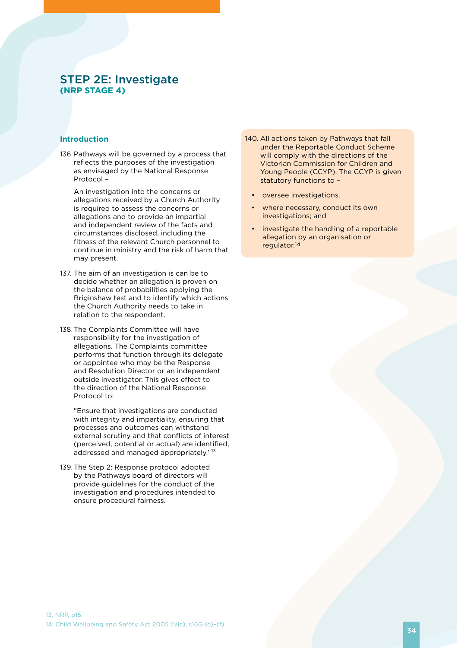### STEP 2E: Investigate **(NRP STAGE 4)**

### **Introduction**

136.Pathways will be governed by a process that reflects the purposes of the investigation as envisaged by the National Response Protocol –

An investigation into the concerns or allegations received by a Church Authority is required to assess the concerns or allegations and to provide an impartial and independent review of the facts and circumstances disclosed, including the fitness of the relevant Church personnel to continue in ministry and the risk of harm that may present.

- 137. The aim of an investigation is can be to decide whether an allegation is proven on the balance of probabilities applying the Briginshaw test and to identify which actions the Church Authority needs to take in relation to the respondent.
- 138.The Complaints Committee will have responsibility for the investigation of allegations. The Complaints committee performs that function through its delegate or appointee who may be the Response and Resolution Director or an independent outside investigator. This gives effect to the direction of the National Response Protocol to:

"Ensure that investigations are conducted with integrity and impartiality, ensuring that processes and outcomes can withstand external scrutiny and that conflicts of interest (perceived, potential or actual) are identified, addressed and managed appropriately.' 13

139.The Step 2: Response protocol adopted by the Pathways board of directors will provide guidelines for the conduct of the investigation and procedures intended to ensure procedural fairness.

- 140. All actions taken by Pathways that fall under the Reportable Conduct Scheme will comply with the directions of the Victorian Commission for Children and Young People (CCYP). The CCYP is given statutory functions to –
	- oversee investigations.
	- where necessary, conduct its own investigations; and
	- investigate the handling of a reportable allegation by an organisation or regulator.14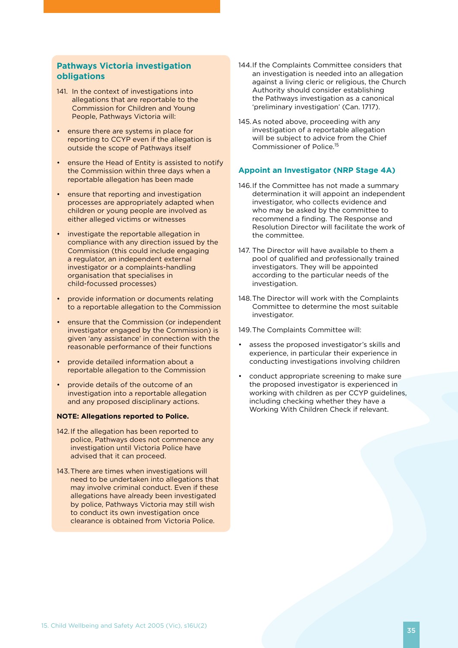### **Pathways Victoria investigation obligations**

- 141. In the context of investigations into allegations that are reportable to the Commission for Children and Young People, Pathways Victoria will:
- • ensure there are systems in place for reporting to CCYP even if the allegation is outside the scope of Pathways itself
- ensure the Head of Entity is assisted to notify the Commission within three days when a reportable allegation has been made
- • ensure that reporting and investigation processes are appropriately adapted when children or young people are involved as either alleged victims or witnesses
- • investigate the reportable allegation in compliance with any direction issued by the Commission (this could include engaging a regulator, an independent external investigator or a complaints-handling organisation that specialises in child-focussed processes)
- • provide information or documents relating to a reportable allegation to the Commission
- ensure that the Commission (or independent investigator engaged by the Commission) is given 'any assistance' in connection with the reasonable performance of their functions
- • provide detailed information about a reportable allegation to the Commission
- • provide details of the outcome of an investigation into a reportable allegation and any proposed disciplinary actions.

### **NOTE: Allegations reported to Police.**

- 142.If the allegation has been reported to police, Pathways does not commence any investigation until Victoria Police have advised that it can proceed.
- 143.There are times when investigations will need to be undertaken into allegations that may involve criminal conduct. Even if these allegations have already been investigated by police, Pathways Victoria may still wish to conduct its own investigation once clearance is obtained from Victoria Police.
- 144.If the Complaints Committee considers that an investigation is needed into an allegation against a living cleric or religious, the Church Authority should consider establishing the Pathways investigation as a canonical 'preliminary investigation' (Can. 1717).
- 145.As noted above, proceeding with any investigation of a reportable allegation will be subject to advice from the Chief Commissioner of Police.15

### **Appoint an Investigator (NRP Stage 4A)**

- 146.If the Committee has not made a summary determination it will appoint an independent investigator, who collects evidence and who may be asked by the committee to recommend a finding. The Response and Resolution Director will facilitate the work of the committee.
- 147. The Director will have available to them a pool of qualified and professionally trained investigators. They will be appointed according to the particular needs of the investigation.
- 148.The Director will work with the Complaints Committee to determine the most suitable investigator.

149.The Complaints Committee will:

- assess the proposed investigator's skills and experience, in particular their experience in conducting investigations involving children
- conduct appropriate screening to make sure the proposed investigator is experienced in working with children as per CCYP guidelines, including checking whether they have a Working With Children Check if relevant.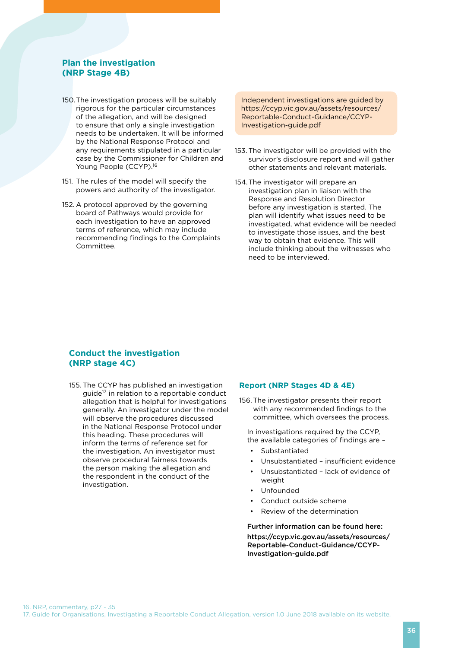### **Plan the investigation (NRP Stage 4B)**

- 150.The investigation process will be suitably rigorous for the particular circumstances of the allegation, and will be designed to ensure that only a single investigation needs to be undertaken. It will be informed by the National Response Protocol and any requirements stipulated in a particular case by the Commissioner for Children and Young People (CCYP).<sup>16</sup>
- 151. The rules of the model will specify the powers and authority of the investigator.
- 152. A protocol approved by the governing board of Pathways would provide for each investigation to have an approved terms of reference, which may include recommending findings to the Complaints Committee.

Independent investigations are guided by https://ccyp.vic.gov.au/assets/resources/ Reportable-Conduct-Guidance/CCYP-Investigation-guide.pdf

- 153. The investigator will be provided with the survivor's disclosure report and will gather other statements and relevant materials.
- 154.The investigator will prepare an investigation plan in liaison with the Response and Resolution Director before any investigation is started. The plan will identify what issues need to be investigated, what evidence will be needed to investigate those issues, and the best way to obtain that evidence. This will include thinking about the witnesses who need to be interviewed.

### **Conduct the investigation (NRP stage 4C)**

155. The CCYP has published an investigation guide17 in relation to a reportable conduct allegation that is helpful for investigations generally. An investigator under the model will observe the procedures discussed in the National Response Protocol under this heading. These procedures will inform the terms of reference set for the investigation. An investigator must observe procedural fairness towards the person making the allegation and the respondent in the conduct of the investigation.

### **Report (NRP Stages 4D & 4E)**

156.The investigator presents their report with any recommended findings to the committee, which oversees the process.

In investigations required by the CCYP, the available categories of findings are –

- Substantiated
- Unsubstantiated insufficient evidence
- Unsubstantiated lack of evidence of weight
- **Unfounded**
- Conduct outside scheme
- Review of the determination

Further information can be found here: https://ccyp.vic.gov.au/assets/resources/ Reportable-Conduct-Guidance/CCYP-Investigation-guide.pdf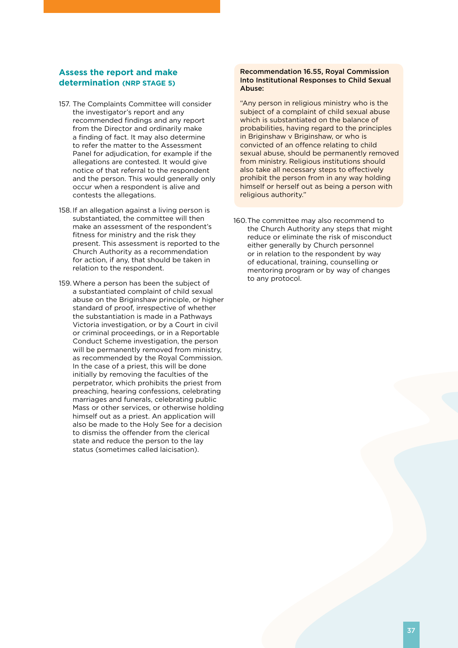### **Assess the report and make determination (NRP STAGE 5)**

- 157. The Complaints Committee will consider the investigator's report and any recommended findings and any report from the Director and ordinarily make a finding of fact. It may also determine to refer the matter to the Assessment Panel for adjudication, for example if the allegations are contested. It would give notice of that referral to the respondent and the person. This would generally only occur when a respondent is alive and contests the allegations.
- 158. If an allegation against a living person is substantiated, the committee will then make an assessment of the respondent's fitness for ministry and the risk they present. This assessment is reported to the Church Authority as a recommendation for action, if any, that should be taken in relation to the respondent.
- 159.Where a person has been the subject of a substantiated complaint of child sexual abuse on the Briginshaw principle, or higher standard of proof, irrespective of whether the substantiation is made in a Pathways Victoria investigation, or by a Court in civil or criminal proceedings, or in a Reportable Conduct Scheme investigation, the person will be permanently removed from ministry, as recommended by the Royal Commission. In the case of a priest, this will be done initially by removing the faculties of the perpetrator, which prohibits the priest from preaching, hearing confessions, celebrating marriages and funerals, celebrating pubIic Mass or other services, or otherwise holding himself out as a priest. An application will also be made to the Holy See for a decision to dismiss the offender from the clerical state and reduce the person to the lay status (sometimes called laicisation).

### Recommendation 16.55, Royal Commission Into Institutional Responses to Child Sexual Abuse:

"Any person in religious ministry who is the subject of a complaint of child sexual abuse which is substantiated on the balance of probabilities, having regard to the principles in Briginshaw v Briginshaw, or who is convicted of an offence relating to child sexual abuse, should be permanently removed from ministry. Religious institutions should also take all necessary steps to effectively prohibit the person from in any way holding himself or herself out as being a person with religious authority."

160.The committee may also recommend to the Church Authority any steps that might reduce or eliminate the risk of misconduct either generally by Church personnel or in relation to the respondent by way of educational, training, counselling or mentoring program or by way of changes to any protocol.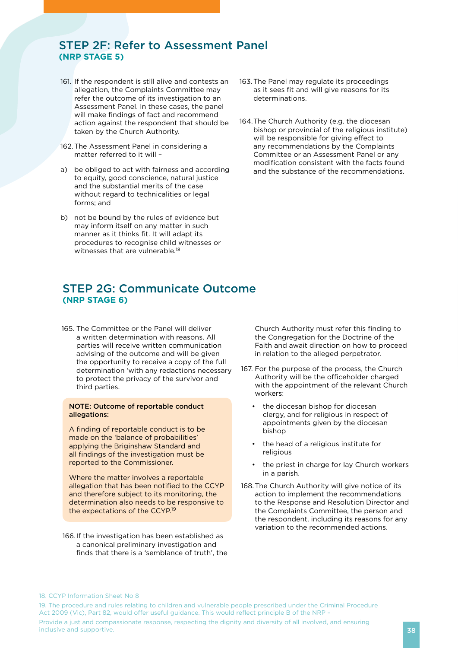### STEP 2F: Refer to Assessment Panel **(NRP STAGE 5)**

- 161. If the respondent is still alive and contests an allegation, the Complaints Committee may refer the outcome of its investigation to an Assessment Panel. In these cases, the panel will make findings of fact and recommend action against the respondent that should be taken by the Church Authority.
- 162.The Assessment Panel in considering a matter referred to it will –
- a) be obliged to act with fairness and according to equity, good conscience, natural justice and the substantial merits of the case without regard to technicalities or legal forms; and
- b) not be bound by the rules of evidence but may inform itself on any matter in such manner as it thinks fit. It will adapt its procedures to recognise child witnesses or witnesses that are vulnerable.<sup>18</sup>
- 163.The Panel may regulate its proceedings as it sees fit and will give reasons for its determinations.
- 164.The Church Authority (e.g. the diocesan bishop or provincial of the religious institute) will be responsible for giving effect to any recommendations by the Complaints Committee or an Assessment Panel or any modification consistent with the facts found and the substance of the recommendations.

### STEP 2G: Communicate Outcome **(NRP STAGE 6)**

165. The Committee or the Panel will deliver a written determination with reasons. All parties will receive written communication advising of the outcome and will be given the opportunity to receive a copy of the full determination 'with any redactions necessary to protect the privacy of the survivor and third parties.

#### NOTE: Outcome of reportable conduct allegations:

A finding of reportable conduct is to be made on the 'balance of probabilities' applying the Briginshaw Standard and all findings of the investigation must be reported to the Commissioner.

Where the matter involves a reportable allegation that has been notified to the CCYP and therefore subject to its monitoring, the determination also needs to be responsive to the expectations of the CCYP.19

166.If the investigation has been established as a canonical preliminary investigation and finds that there is a 'semblance of truth', the

Church Authority must refer this finding to the Congregation for the Doctrine of the Faith and await direction on how to proceed in relation to the alleged perpetrator.

- 167. For the purpose of the process, the Church Authority will be the officeholder charged with the appointment of the relevant Church workers:
	- the diocesan bishop for diocesan clergy, and for religious in respect of appointments given by the diocesan bishop
	- the head of a religious institute for religious
	- the priest in charge for lay Church workers in a parish.
- 168.The Church Authority will give notice of its action to implement the recommendations to the Response and Resolution Director and the Complaints Committee, the person and the respondent, including its reasons for any variation to the recommended actions.

#### 18. CCYP Information Sheet No 8

19. The procedure and rules relating to children and vulnerable people prescribed under the Criminal Procedure Act 2009 (Vic), Part 82, would offer useful guidance. This would reflect principle B of the NRP – Provide a just and compassionate response, respecting the dignity and diversity of all involved, and ensuring inclusive and supportive.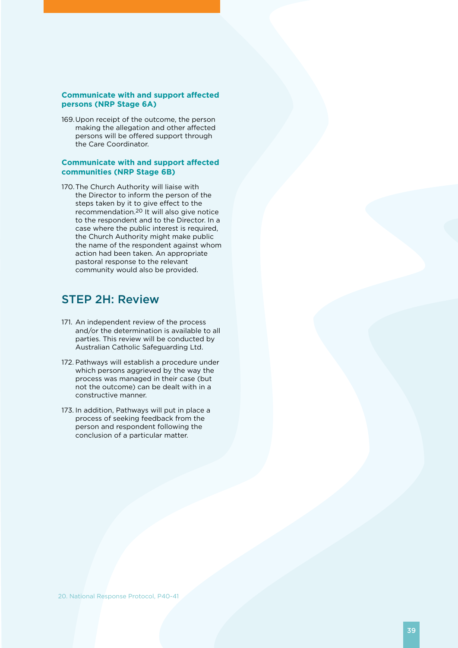### **Communicate with and support affected persons (NRP Stage 6A)**

169.Upon receipt of the outcome, the person making the allegation and other affected persons will be offered support through the Care Coordinator.

### **Communicate with and support affected communities (NRP Stage 6B)**

170.The Church Authority will liaise with the Director to inform the person of the steps taken by it to give effect to the recommendation.20 It will also give notice to the respondent and to the Director. In a case where the public interest is required, the Church Authority might make public the name of the respondent against whom action had been taken. An appropriate pastoral response to the relevant community would also be provided.

### STEP 2H: Review

- 171. An independent review of the process and/or the determination is available to all parties. This review will be conducted by Australian Catholic Safeguarding Ltd.
- 172. Pathways will establish a procedure under which persons aggrieved by the way the process was managed in their case (but not the outcome) can be dealt with in a constructive manner.
- 173. In addition, Pathways will put in place a process of seeking feedback from the person and respondent following the conclusion of a particular matter.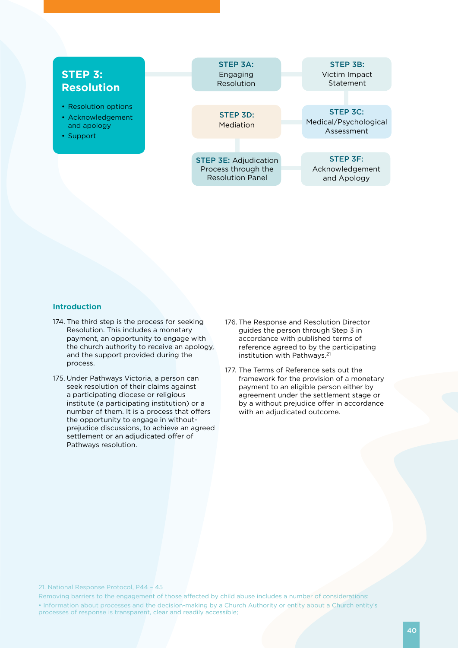

### **Introduction**

- 174. The third step is the process for seeking Resolution. This includes a monetary payment, an opportunity to engage with the church authority to receive an apology, and the support provided during the process.
- 175. Under Pathways Victoria, a person can seek resolution of their claims against a participating diocese or religious institute (a participating institution) or a number of them. It is a process that offers the opportunity to engage in withoutprejudice discussions, to achieve an agreed settlement or an adjudicated offer of Pathways resolution.
- 176. The Response and Resolution Director guides the person through Step 3 in accordance with published terms of reference agreed to by the participating institution with Pathways.21
- 177. The Terms of Reference sets out the framework for the provision of a monetary payment to an eligible person either by agreement under the settlement stage or by a without prejudice offer in accordance with an adjudicated outcome.

21. National Response Protocol, P44 – 45

Removing barriers to the engagement of those affected by child abuse includes a number of considerations: • Information about processes and the decision-making by a Church Authority or entity about a Church entity's processes of response is transparent, clear and readily accessible;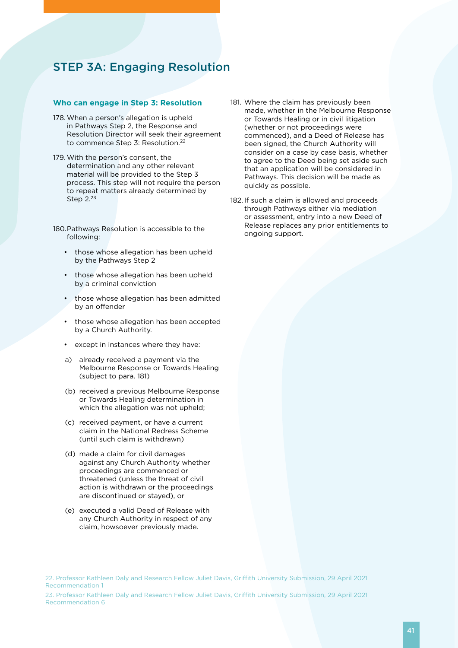### STEP 3A: Engaging Resolution

### **Who can engage in Step 3: Resolution**

- 178.When a person's allegation is upheld in Pathways Step 2, the Response and Resolution Director will seek their agreement to commence Step 3: Resolution.<sup>22</sup>
- 179.With the person's consent, the determination and any other relevant material will be provided to the Step 3 process. This step will not require the person to repeat matters already determined by Step 2.23
- 180.Pathways Resolution is accessible to the following:
	- • those whose allegation has been upheld by the Pathways Step 2
	- • those whose allegation has been upheld by a criminal conviction
	- • those whose allegation has been admitted by an offender
	- those whose allegation has been accepted by a Church Authority.
	- except in instances where they have:
	- a) already received a payment via the Melbourne Response or Towards Healing (subject to para. 181)
	- (b) received a previous Melbourne Response or Towards Healing determination in which the allegation was not upheld;
	- (c) received payment, or have a current claim in the National Redress Scheme (until such claim is withdrawn)
	- (d) made a claim for civil damages against any Church Authority whether proceedings are commenced or threatened (unless the threat of civil action is withdrawn or the proceedings are discontinued or stayed), or
	- (e) executed a valid Deed of Release with any Church Authority in respect of any claim, howsoever previously made.
- 181. Where the claim has previously been made, whether in the Melbourne Response or Towards Healing or in civil litigation (whether or not proceedings were commenced), and a Deed of Release has been signed, the Church Authority will consider on a case by case basis, whether to agree to the Deed being set aside such that an application will be considered in Pathways. This decision will be made as quickly as possible.
- 182. If such a claim is allowed and proceeds through Pathways either via mediation or assessment, entry into a new Deed of Release replaces any prior entitlements to ongoing support.

22. Professor Kathleen Daly and Research Fellow Juliet Davis, Griffith University Submission, 29 April 2021 Recommendation 1

<sup>23.</sup> Professor Kathleen Daly and Research Fellow Juliet Davis, Griffith University Submission, 29 April 2021 Recommendation 6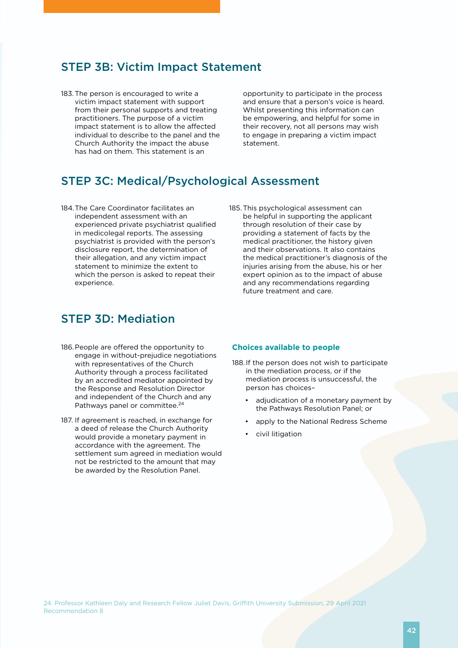### STEP 3B: Victim Impact Statement

183.The person is encouraged to write a victim impact statement with support from their personal supports and treating practitioners. The purpose of a victim impact statement is to allow the affected individual to describe to the panel and the Church Authority the impact the abuse has had on them. This statement is an

opportunity to participate in the process and ensure that a person's voice is heard. Whilst presenting this information can be empowering, and helpful for some in their recovery, not all persons may wish to engage in preparing a victim impact statement.

### STEP 3C: Medical/Psychological Assessment

- 184.The Care Coordinator facilitates an independent assessment with an experienced private psychiatrist qualified in medicolegal reports. The assessing psychiatrist is provided with the person's disclosure report, the determination of their allegation, and any victim impact statement to minimize the extent to which the person is asked to repeat their experience.
- 185.This psychological assessment can be helpful in supporting the applicant through resolution of their case by providing a statement of facts by the medical practitioner, the history given and their observations. It also contains the medical practitioner's diagnosis of the injuries arising from the abuse, his or her expert opinion as to the impact of abuse and any recommendations regarding future treatment and care.

### STEP 3D: Mediation

- 186.People are offered the opportunity to engage in without-prejudice negotiations with representatives of the Church Authority through a process facilitated by an accredited mediator appointed by the Response and Resolution Director and independent of the Church and any Pathways panel or committee.<sup>24</sup>
- 187. If agreement is reached, in exchange for a deed of release the Church Authority would provide a monetary payment in accordance with the agreement. The settlement sum agreed in mediation would not be restricted to the amount that may be awarded by the Resolution Panel.

### **Choices available to people**

- 188.If the person does not wish to participate in the mediation process, or if the mediation process is unsuccessful, the person has choices–
	- adjudication of a monetary payment by the Pathways Resolution Panel; or
	- apply to the National Redress Scheme
	- • civil litigation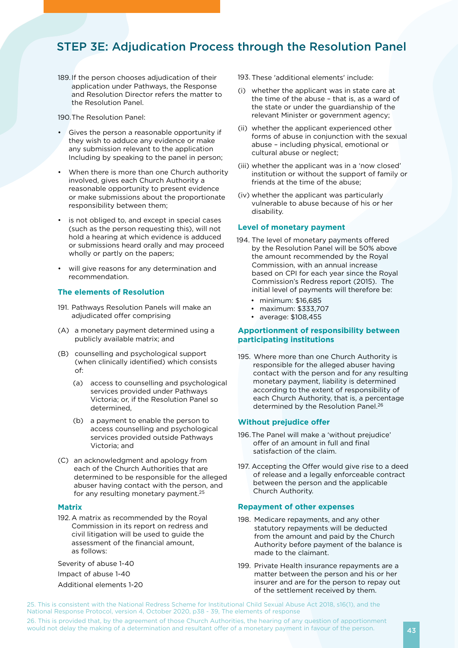## STEP 3E: Adjudication Process through the Resolution Panel

189.If the person chooses adjudication of their application under Pathways, the Response and Resolution Director refers the matter to the Resolution Panel.

190.The Resolution Panel:

- Gives the person a reasonable opportunity if they wish to adduce any evidence or make any submission relevant to the application Including by speaking to the panel in person;
- When there is more than one Church authority involved, gives each Church Authority a reasonable opportunity to present evidence or make submissions about the proportionate responsibility between them;
- is not obliged to, and except in special cases (such as the person requesting this), will not hold a hearing at which evidence is adduced or submissions heard orally and may proceed wholly or partly on the papers;
- will give reasons for any determination and recommendation.

### **The elements of Resolution**

- 191. Pathways Resolution Panels will make an adjudicated offer comprising
- (A) a monetary payment determined using a publicly available matrix; and
- (B) counselling and psychological support (when clinically identified) which consists of:
	- (a) access to counselling and psychological services provided under Pathways Victoria; or, if the Resolution Panel so determined,
	- (b) a payment to enable the person to access counselling and psychological services provided outside Pathways Victoria; and
- (C) an acknowledgment and apology from each of the Church Authorities that are determined to be responsible for the alleged abuser having contact with the person, and for any resulting monetary payment.<sup>25</sup>

#### **Matrix**

192. A matrix as recommended by the Royal Commission in its report on redress and civil litigation will be used to guide the assessment of the financial amount, as follows:

Severity of abuse 1-40 Impact of abuse 1-40

Additional elements 1-20

- 193. These 'additional elements' include:
- (i) whether the applicant was in state care at the time of the abuse – that is, as a ward of the state or under the guardianship of the relevant Minister or government agency;
- (ii) whether the applicant experienced other forms of abuse in conjunction with the sexual abuse – including physical, emotional or cultural abuse or neglect;
- (iii) whether the applicant was in a 'now closed' institution or without the support of family or friends at the time of the abuse;
- (iv) whether the applicant was particularly vulnerable to abuse because of his or her disability.

### **Level of monetary payment**

- 194. The level of monetary payments offered by the Resolution Panel will be 50% above the amount recommended by the Royal Commission, with an annual increase based on CPI for each year since the Royal Commission's Redress report (2015). The initial level of payments will therefore be:
	- • minimum: \$16,685
	- • maximum: \$333,707
	- • average: \$108,455

### **Apportionment of responsibility between participating institutions**

195. Where more than one Church Authority is responsible for the alleged abuser having contact with the person and for any resulting monetary payment, liability is determined according to the extent of responsibility of each Church Authority, that is, a percentage determined by the Resolution Panel.<sup>26</sup>

### **Without prejudice offer**

- 196.The Panel will make a 'without prejudice' offer of an amount in full and final satisfaction of the claim.
- 197. Accepting the Offer would give rise to a deed of release and a legally enforceable contract between the person and the applicable Church Authority.

### **Repayment of other expenses**

- 198. Medicare repayments, and any other statutory repayments will be deducted from the amount and paid by the Church Authority before payment of the balance is made to the claimant.
- 199. Private Health insurance repayments are a matter between the person and his or her insurer and are for the person to repay out of the settlement received by them.

25. This is consistent with the National Redress Scheme for Institutional Child Sexual Abuse Act 2018, s16(1), and the National Response Protocol, version 4, October 2020, p38 - 39, The elements of response

26. This is provided that, by the agreement of those Church Authorities, the hearing of any question of apportionment would not delay the making of a determination and resultant offer of a monetary payment in favour of the person.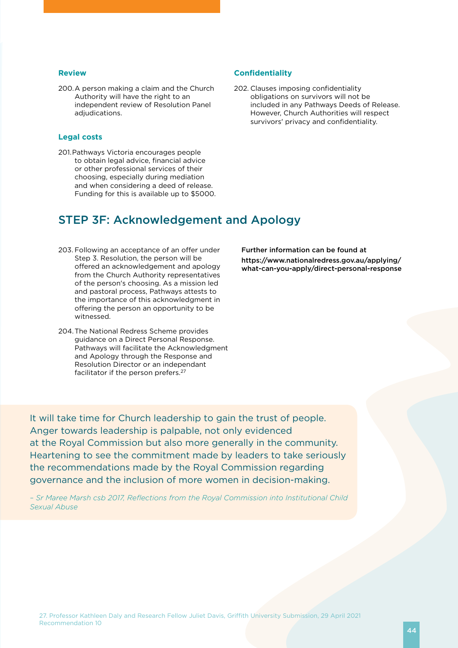#### **Review**

200.A person making a claim and the Church Authority will have the right to an independent review of Resolution Panel adjudications.

### **Legal costs**

201.Pathways Victoria encourages people to obtain legal advice, financial advice or other professional services of their choosing, especially during mediation and when considering a deed of release. Funding for this is available up to \$5000.

### **Confidentiality**

202. Clauses imposing confidentiality obligations on survivors will not be included in any Pathways Deeds of Release. However, Church Authorities will respect survivors' privacy and confidentiality.

### STEP 3F: Acknowledgement and Apology

- 203. Following an acceptance of an offer under Step 3. Resolution, the person will be offered an acknowledgement and apology from the Church Authority representatives of the person's choosing. As a mission led and pastoral process, Pathways attests to the importance of this acknowledgment in offering the person an opportunity to be witnessed.
- 204.The National Redress Scheme provides guidance on a Direct Personal Response. Pathways will facilitate the Acknowledgment and Apology through the Response and Resolution Director or an independant facilitator if the person prefers.27

Further information can be found at https://www.nationalredress.gov.au/applying/ what-can-you-apply/direct-personal-response

It will take time for Church leadership to gain the trust of people. Anger towards leadership is palpable, not only evidenced at the Royal Commission but also more generally in the community. Heartening to see the commitment made by leaders to take seriously the recommendations made by the Royal Commission regarding governance and the inclusion of more women in decision-making.

*– Sr Maree Marsh csb 2017, Reflections from the Royal Commission into Institutional Child Sexual Abuse*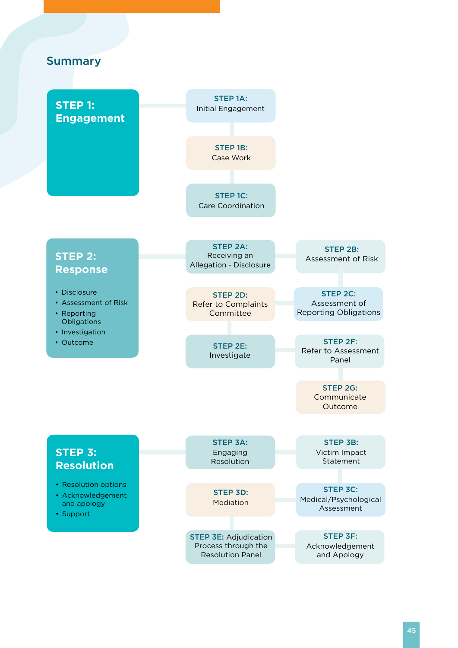### **Summary**

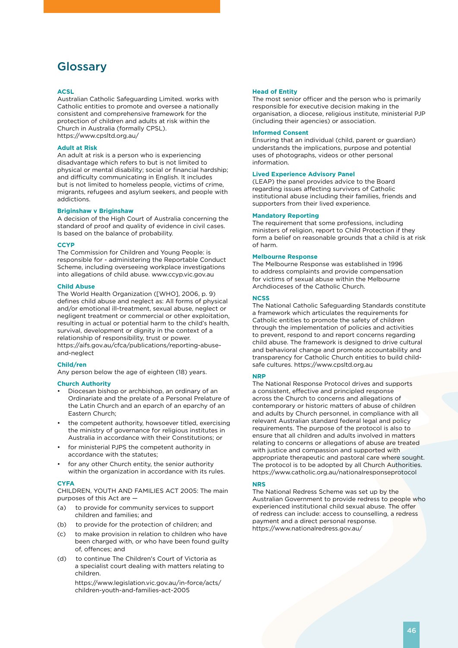## **Glossary**

#### **ACSL**

Australian Catholic Safeguarding Limited. works with Catholic entities to promote and oversee a nationally consistent and comprehensive framework for the protection of children and adults at risk within the Church in Australia (formally CPSL). https://www.cpsltd.org.au/

#### **Adult at Risk**

An adult at risk is a person who is experiencing disadvantage which refers to but is not limited to physical or mental disability; social or financial hardship; and difficulty communicating in English. It includes but is not limited to homeless people, victims of crime, migrants, refugees and asylum seekers, and people with addictions.

#### **Briginshaw v Briginshaw**

A decision of the High Court of Australia concerning the standard of proof and quality of evidence in civil cases. Is based on the balance of probability.

#### **CCYP**

The Commission for Children and Young People: is responsible for - administering the Reportable Conduct Scheme, including overseeing workplace investigations into allegations of child abuse. www.ccyp.vic.gov.au

#### **Child Abuse**

The World Health Organization ([WHO], 2006, p. 9) defines child abuse and neglect as: All forms of physical and/or emotional ill-treatment, sexual abuse, neglect or negligent treatment or commercial or other exploitation, resulting in actual or potential harm to the child's health, survival, development or dignity in the context of a relationship of responsibility, trust or power. https://aifs.gov.au/cfca/publications/reporting-abuseand-neglect

#### **Child/ren**

Any person below the age of eighteen (18) years.

#### **Church Authority**

- Diocesan bishop or archbishop, an ordinary of an Ordinariate and the prelate of a Personal Prelature of the Latin Church and an eparch of an eparchy of an Eastern Church;
- the competent authority, howsoever titled, exercising the ministry of governance for religious institutes in Australia in accordance with their Constitutions; or
- for ministerial PJPS the competent authority in accordance with the statutes;
- for any other Church entity, the senior authority within the organization in accordance with its rules.

#### **CYFA**

CHILDREN, YOUTH AND FAMILIES ACT 2005: The main purposes of this Act are —

- (a) to provide for community services to support children and families; and
- (b) to provide for the protection of children; and
- (c) to make provision in relation to children who have been charged with, or who have been found guilty of, offences; and
- (d) to continue The Children's Court of Victoria as a specialist court dealing with matters relating to children.

 https://www.legislation.vic.gov.au/in-force/acts/ children-youth-and-families-act-2005

#### **Head of Entity**

The most senior officer and the person who is primarily responsible for executive decision making in the organisation, a diocese, religious institute, ministerial PJP (including their agencies) or association.

#### **Informed Consent**

Ensuring that an individual (child, parent or guardian) understands the implications, purpose and potential uses of photographs, videos or other personal information.

#### **Lived Experience Advisory Panel**

(LEAP) the panel provides advice to the Board regarding issues affecting survivors of Catholic institutional abuse including their families, friends and supporters from their lived experience.

#### **Mandatory Reporting**

The requirement that some professions, including ministers of religion, report to Child Protection if they form a belief on reasonable grounds that a child is at risk of harm.

#### **Melbourne Response**

The Melbourne Response was established in 1996 to address complaints and provide compensation for victims of sexual abuse within the Melbourne Archdioceses of the Catholic Church.

#### **NCSS**

The National Catholic Safeguarding Standards constitute a framework which articulates the requirements for Catholic entities to promote the safety of children through the implementation of policies and activities to prevent, respond to and report concerns regarding child abuse. The framework is designed to drive cultural and behavioral change and promote accountability and transparency for Catholic Church entities to build childsafe cultures. https://www.cpsltd.org.au

#### **NRP**

The National Response Protocol drives and supports a consistent, effective and principled response across the Church to concerns and allegations of contemporary or historic matters of abuse of children and adults by Church personnel, in compliance with all relevant Australian standard federal legal and policy requirements. The purpose of the protocol is also to ensure that all children and adults involved in matters relating to concerns or allegations of abuse are treated with justice and compassion and supported with appropriate therapeutic and pastoral care where sought. The protocol is to be adopted by all Church Authorities. https://www.catholic.org.au/nationalresponseprotocol

#### **NRS**

The National Redress Scheme was set up by the Australian Government to provide redress to people who experienced institutional child sexual abuse. The offer of redress can include: access to counselling, a redress payment and a direct personal response. https://www.nationalredress.gov.au/